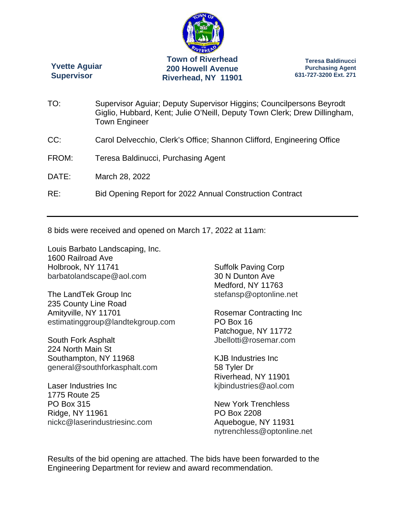

**Yvette Aguiar Supervisor** 

**Teresa Baldinucci Purchasing Agent 631-727-3200 Ext. 271** 

| TO:   | Supervisor Aguiar; Deputy Supervisor Higgins; Councilpersons Beyrodt<br>Giglio, Hubbard, Kent; Julie O'Neill, Deputy Town Clerk; Drew Dillingham,<br><b>Town Engineer</b> |
|-------|---------------------------------------------------------------------------------------------------------------------------------------------------------------------------|
| CC:   | Carol Delvecchio, Clerk's Office; Shannon Clifford, Engineering Office                                                                                                    |
| FROM: | Teresa Baldinucci, Purchasing Agent                                                                                                                                       |
| DATE: | March 28, 2022                                                                                                                                                            |
| RE:   | Bid Opening Report for 2022 Annual Construction Contract                                                                                                                  |

8 bids were received and opened on March 17, 2022 at 11am:

Louis Barbato Landscaping, Inc. 1600 Railroad Ave Holbrook, NY 11741 barbatolandscape@aol.com

The LandTek Group Inc 235 County Line Road Amityville, NY 11701 estimatinggroup@landtekgroup.com

South Fork Asphalt 224 North Main St Southampton, NY 11968 general@southforkasphalt.com

Laser Industries Inc 1775 Route 25 PO Box 315 Ridge, NY 11961 nickc@laserindustriesinc.com Suffolk Paving Corp 30 N Dunton Ave Medford, NY 11763 stefansp@optonline.net

Rosemar Contracting Inc PO Box 16 Patchogue, NY 11772 Jbellotti@rosemar.com

KJB Industries Inc 58 Tyler Dr Riverhead, NY 11901 kjbindustries@aol.com

New York Trenchless PO Box 2208 Aquebogue, NY 11931 nytrenchless@optonline.net

Results of the bid opening are attached. The bids have been forwarded to the Engineering Department for review and award recommendation.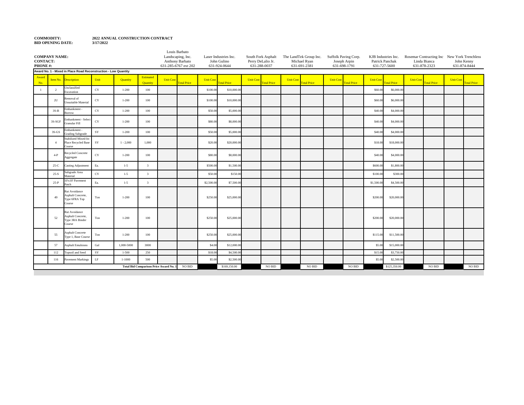## **3/17/2022 COMMODITY: BID OPENING DATE:**

**2022 ANNUAL CONSTRUCTION CONTRACT**

| Landscaping, Inc.<br><b>COMPANY NAME:</b><br>Laser Industries Inc.<br>South Fork Asphalt<br>The LandTek Group Inc.<br>Suffolk Paving Corp.<br>KJB Industries Inc.<br><b>CONTACT:</b><br>John Gulino<br>Anthony Barbato<br>Perry DeLalio Jr.<br>Michael Ryan<br>Joseph Arpin<br>Patrick Panchak<br>631-924-0644<br>631-288-0037<br>631-691-2381<br>631-698-1791<br>631-727-5600<br>631-285-6767 ext 202<br>Award No. 1 - Mixed in Place Road Reconstruction - Low Quantity<br><b>Estimated</b><br>Award<br>Unit<br><b>Unit Cost</b><br><b>Unit Cost</b><br><b>Unit Cost</b><br>Item No.<br>Quantity<br><b>Unit Cost</b><br><b>Unit Cost</b><br><b>Unit Cost</b><br><b>Description</b><br>Quantity<br><b>Fotal Price</b><br><b>Fotal Price</b><br>otal Price<br><b>Total Price</b><br><b>Total Price</b><br><b>Fotal Price</b><br>No.<br><b>Jnclassified</b><br>CY<br>$1 - 200$<br>\$100.0<br>\$10,000.0<br>\$6,000.0<br>$\overline{2}$<br>100<br>\$60.00<br>$\blacksquare$<br>xcavation<br>temoval of<br>$_{\rm CY}$<br>$1 - 200$<br>\$6,000.0<br>2U<br>100<br>\$100.00<br>\$10,000.0<br>\$60.00<br>Jnsuitable Material<br>Embankment -<br>CY<br>\$50.00<br>\$40.00<br>\$4,000.0<br>$3S-B$<br>$1 - 200$<br>100<br>\$5,000.0<br>Borrow<br>Embankment - Selec<br>$_{\rm CY}$<br>3S-SGF<br>$1 - 200$<br>100<br>\$8,000.00<br>\$40.00<br>\$4,000.0<br>\$80.00<br>Granular Fill<br>Embankment -<br>${\rm SY}$<br>100<br>\$40.00<br>\$4,000.0<br>$3S-GS$<br>$1 - 200$<br>\$50.00<br>\$5,000.00<br>Grading Subgrade<br>Stabilized Mixed-In-<br>SY<br>Place Recycled Base<br>$1 - 2,000$<br>1,000<br>\$20.00<br>\$20,000.00<br>\$18.00<br>\$18,000.0<br>$\overline{4}$<br>Course<br>Recycled Concrete<br>$_{\rm CY}$<br>$1 - 200$<br>\$8,000.00<br>\$4,000.0<br>$4-P$<br>100<br>\$80.00<br>\$40.00<br>Aggregate<br>Ea.<br>\$1,800.0<br>$25-C$<br>lasting Adjustment<br>$1 - 5$<br>$\overline{\mathbf{3}}$<br>\$500.00<br>\$1,500.00<br>\$600.0<br>Subgrade Area<br>CY<br>$25 - S$<br>$1 - 5$<br>$\overline{3}$<br>\$50.00<br>\$150.00<br>\$100.00<br>\$300.0<br>Material<br>10'x10' Pavement<br>Ea.<br>$25-P$<br>\$4,500.0<br>$1 - 5$<br>\$2,500.0<br>\$7,500.00<br>\$1,500.00<br>$\mathbf{3}$<br>atch<br>Rut Avoidance<br>Asphalt Concrete,<br>49<br>Ton<br>$1 - 200$<br>100<br>\$250.00<br>\$25,000.0<br>\$200.00<br>\$20,000.0<br>Type 6FRA Top<br>Course<br>Rut Avoidance<br>Asphalt Concrete,<br>52<br>\$250.00<br>\$20,000.0<br>Ton<br>$1 - 200$<br>100<br>\$25,000.0<br>\$200.0<br>Type 3RA Binder<br>Course |  |                         |  | Louis Barbato |  |  |  |  |  |                  | Rosemar Contracting Inc New York Trenchless |                  |                    |
|------------------------------------------------------------------------------------------------------------------------------------------------------------------------------------------------------------------------------------------------------------------------------------------------------------------------------------------------------------------------------------------------------------------------------------------------------------------------------------------------------------------------------------------------------------------------------------------------------------------------------------------------------------------------------------------------------------------------------------------------------------------------------------------------------------------------------------------------------------------------------------------------------------------------------------------------------------------------------------------------------------------------------------------------------------------------------------------------------------------------------------------------------------------------------------------------------------------------------------------------------------------------------------------------------------------------------------------------------------------------------------------------------------------------------------------------------------------------------------------------------------------------------------------------------------------------------------------------------------------------------------------------------------------------------------------------------------------------------------------------------------------------------------------------------------------------------------------------------------------------------------------------------------------------------------------------------------------------------------------------------------------------------------------------------------------------------------------------------------------------------------------------------------------------------------------------------------------------------------------------------------------------------------------------------------------------------------------------------------------------------------------------------------------------------------------------------------------------------------------------------------|--|-------------------------|--|---------------|--|--|--|--|--|------------------|---------------------------------------------|------------------|--------------------|
| PHONE#:                                                                                                                                                                                                                                                                                                                                                                                                                                                                                                                                                                                                                                                                                                                                                                                                                                                                                                                                                                                                                                                                                                                                                                                                                                                                                                                                                                                                                                                                                                                                                                                                                                                                                                                                                                                                                                                                                                                                                                                                                                                                                                                                                                                                                                                                                                                                                                                                                                                                                                    |  |                         |  |               |  |  |  |  |  | Linda Bianca     |                                             | John Kenny       |                    |
|                                                                                                                                                                                                                                                                                                                                                                                                                                                                                                                                                                                                                                                                                                                                                                                                                                                                                                                                                                                                                                                                                                                                                                                                                                                                                                                                                                                                                                                                                                                                                                                                                                                                                                                                                                                                                                                                                                                                                                                                                                                                                                                                                                                                                                                                                                                                                                                                                                                                                                            |  |                         |  |               |  |  |  |  |  | 631-878-2323     |                                             | 631-874-8444     |                    |
|                                                                                                                                                                                                                                                                                                                                                                                                                                                                                                                                                                                                                                                                                                                                                                                                                                                                                                                                                                                                                                                                                                                                                                                                                                                                                                                                                                                                                                                                                                                                                                                                                                                                                                                                                                                                                                                                                                                                                                                                                                                                                                                                                                                                                                                                                                                                                                                                                                                                                                            |  |                         |  |               |  |  |  |  |  |                  |                                             |                  |                    |
|                                                                                                                                                                                                                                                                                                                                                                                                                                                                                                                                                                                                                                                                                                                                                                                                                                                                                                                                                                                                                                                                                                                                                                                                                                                                                                                                                                                                                                                                                                                                                                                                                                                                                                                                                                                                                                                                                                                                                                                                                                                                                                                                                                                                                                                                                                                                                                                                                                                                                                            |  |                         |  |               |  |  |  |  |  | <b>Unit Cost</b> | <b>Fotal Price</b>                          | <b>Unit Cost</b> | <b>Total Price</b> |
|                                                                                                                                                                                                                                                                                                                                                                                                                                                                                                                                                                                                                                                                                                                                                                                                                                                                                                                                                                                                                                                                                                                                                                                                                                                                                                                                                                                                                                                                                                                                                                                                                                                                                                                                                                                                                                                                                                                                                                                                                                                                                                                                                                                                                                                                                                                                                                                                                                                                                                            |  |                         |  |               |  |  |  |  |  |                  |                                             |                  |                    |
|                                                                                                                                                                                                                                                                                                                                                                                                                                                                                                                                                                                                                                                                                                                                                                                                                                                                                                                                                                                                                                                                                                                                                                                                                                                                                                                                                                                                                                                                                                                                                                                                                                                                                                                                                                                                                                                                                                                                                                                                                                                                                                                                                                                                                                                                                                                                                                                                                                                                                                            |  |                         |  |               |  |  |  |  |  |                  |                                             |                  |                    |
|                                                                                                                                                                                                                                                                                                                                                                                                                                                                                                                                                                                                                                                                                                                                                                                                                                                                                                                                                                                                                                                                                                                                                                                                                                                                                                                                                                                                                                                                                                                                                                                                                                                                                                                                                                                                                                                                                                                                                                                                                                                                                                                                                                                                                                                                                                                                                                                                                                                                                                            |  |                         |  |               |  |  |  |  |  |                  |                                             |                  |                    |
|                                                                                                                                                                                                                                                                                                                                                                                                                                                                                                                                                                                                                                                                                                                                                                                                                                                                                                                                                                                                                                                                                                                                                                                                                                                                                                                                                                                                                                                                                                                                                                                                                                                                                                                                                                                                                                                                                                                                                                                                                                                                                                                                                                                                                                                                                                                                                                                                                                                                                                            |  |                         |  |               |  |  |  |  |  |                  |                                             |                  |                    |
|                                                                                                                                                                                                                                                                                                                                                                                                                                                                                                                                                                                                                                                                                                                                                                                                                                                                                                                                                                                                                                                                                                                                                                                                                                                                                                                                                                                                                                                                                                                                                                                                                                                                                                                                                                                                                                                                                                                                                                                                                                                                                                                                                                                                                                                                                                                                                                                                                                                                                                            |  |                         |  |               |  |  |  |  |  |                  |                                             |                  |                    |
|                                                                                                                                                                                                                                                                                                                                                                                                                                                                                                                                                                                                                                                                                                                                                                                                                                                                                                                                                                                                                                                                                                                                                                                                                                                                                                                                                                                                                                                                                                                                                                                                                                                                                                                                                                                                                                                                                                                                                                                                                                                                                                                                                                                                                                                                                                                                                                                                                                                                                                            |  |                         |  |               |  |  |  |  |  |                  |                                             |                  |                    |
|                                                                                                                                                                                                                                                                                                                                                                                                                                                                                                                                                                                                                                                                                                                                                                                                                                                                                                                                                                                                                                                                                                                                                                                                                                                                                                                                                                                                                                                                                                                                                                                                                                                                                                                                                                                                                                                                                                                                                                                                                                                                                                                                                                                                                                                                                                                                                                                                                                                                                                            |  |                         |  |               |  |  |  |  |  |                  |                                             |                  |                    |
|                                                                                                                                                                                                                                                                                                                                                                                                                                                                                                                                                                                                                                                                                                                                                                                                                                                                                                                                                                                                                                                                                                                                                                                                                                                                                                                                                                                                                                                                                                                                                                                                                                                                                                                                                                                                                                                                                                                                                                                                                                                                                                                                                                                                                                                                                                                                                                                                                                                                                                            |  |                         |  |               |  |  |  |  |  |                  |                                             |                  |                    |
|                                                                                                                                                                                                                                                                                                                                                                                                                                                                                                                                                                                                                                                                                                                                                                                                                                                                                                                                                                                                                                                                                                                                                                                                                                                                                                                                                                                                                                                                                                                                                                                                                                                                                                                                                                                                                                                                                                                                                                                                                                                                                                                                                                                                                                                                                                                                                                                                                                                                                                            |  |                         |  |               |  |  |  |  |  |                  |                                             |                  |                    |
|                                                                                                                                                                                                                                                                                                                                                                                                                                                                                                                                                                                                                                                                                                                                                                                                                                                                                                                                                                                                                                                                                                                                                                                                                                                                                                                                                                                                                                                                                                                                                                                                                                                                                                                                                                                                                                                                                                                                                                                                                                                                                                                                                                                                                                                                                                                                                                                                                                                                                                            |  |                         |  |               |  |  |  |  |  |                  |                                             |                  |                    |
|                                                                                                                                                                                                                                                                                                                                                                                                                                                                                                                                                                                                                                                                                                                                                                                                                                                                                                                                                                                                                                                                                                                                                                                                                                                                                                                                                                                                                                                                                                                                                                                                                                                                                                                                                                                                                                                                                                                                                                                                                                                                                                                                                                                                                                                                                                                                                                                                                                                                                                            |  |                         |  |               |  |  |  |  |  |                  |                                             |                  |                    |
|                                                                                                                                                                                                                                                                                                                                                                                                                                                                                                                                                                                                                                                                                                                                                                                                                                                                                                                                                                                                                                                                                                                                                                                                                                                                                                                                                                                                                                                                                                                                                                                                                                                                                                                                                                                                                                                                                                                                                                                                                                                                                                                                                                                                                                                                                                                                                                                                                                                                                                            |  |                         |  |               |  |  |  |  |  |                  |                                             |                  |                    |
|                                                                                                                                                                                                                                                                                                                                                                                                                                                                                                                                                                                                                                                                                                                                                                                                                                                                                                                                                                                                                                                                                                                                                                                                                                                                                                                                                                                                                                                                                                                                                                                                                                                                                                                                                                                                                                                                                                                                                                                                                                                                                                                                                                                                                                                                                                                                                                                                                                                                                                            |  |                         |  |               |  |  |  |  |  |                  |                                             |                  |                    |
| 55<br>Ton<br>$1 - 200$<br>100<br>\$250.00<br>\$25,000.0<br>\$11,500.0<br>\$115.00<br>Type 1, Base Course                                                                                                                                                                                                                                                                                                                                                                                                                                                                                                                                                                                                                                                                                                                                                                                                                                                                                                                                                                                                                                                                                                                                                                                                                                                                                                                                                                                                                                                                                                                                                                                                                                                                                                                                                                                                                                                                                                                                                                                                                                                                                                                                                                                                                                                                                                                                                                                                   |  | <b>Asphalt Concrete</b> |  |               |  |  |  |  |  |                  |                                             |                  |                    |
| Gal<br>3000<br>\$12,000.0<br>\$5.00<br>\$15,000.0<br>57<br><b>Asphalt Emulsions</b><br>1,000-5000<br>\$4.00                                                                                                                                                                                                                                                                                                                                                                                                                                                                                                                                                                                                                                                                                                                                                                                                                                                                                                                                                                                                                                                                                                                                                                                                                                                                                                                                                                                                                                                                                                                                                                                                                                                                                                                                                                                                                                                                                                                                                                                                                                                                                                                                                                                                                                                                                                                                                                                                |  |                         |  |               |  |  |  |  |  |                  |                                             |                  |                    |
| SY<br>112<br><b>Topsoil</b> and Seed<br>$1 - 500$<br>250<br>\$18.00<br>\$4,500.0<br>\$15.00<br>\$3,750.0                                                                                                                                                                                                                                                                                                                                                                                                                                                                                                                                                                                                                                                                                                                                                                                                                                                                                                                                                                                                                                                                                                                                                                                                                                                                                                                                                                                                                                                                                                                                                                                                                                                                                                                                                                                                                                                                                                                                                                                                                                                                                                                                                                                                                                                                                                                                                                                                   |  |                         |  |               |  |  |  |  |  |                  |                                             |                  |                    |
| $\rm LF$<br>500<br>$1 - 1000$<br>\$5.00<br>\$2,500.00<br>\$5.00<br>116<br>avement Markings<br>\$2,500.0                                                                                                                                                                                                                                                                                                                                                                                                                                                                                                                                                                                                                                                                                                                                                                                                                                                                                                                                                                                                                                                                                                                                                                                                                                                                                                                                                                                                                                                                                                                                                                                                                                                                                                                                                                                                                                                                                                                                                                                                                                                                                                                                                                                                                                                                                                                                                                                                    |  |                         |  |               |  |  |  |  |  |                  |                                             |                  |                    |
| <b>Total Bid Comparison Price Award No. 1</b><br>NO BID<br>NO BID<br><b>NO BID</b><br>$\rm NO$ $\rm BID$<br>\$125,350.00<br>\$169,150.00                                                                                                                                                                                                                                                                                                                                                                                                                                                                                                                                                                                                                                                                                                                                                                                                                                                                                                                                                                                                                                                                                                                                                                                                                                                                                                                                                                                                                                                                                                                                                                                                                                                                                                                                                                                                                                                                                                                                                                                                                                                                                                                                                                                                                                                                                                                                                                   |  |                         |  |               |  |  |  |  |  |                  | <b>NO BID</b>                               |                  | $\rm NO$ $\rm BID$ |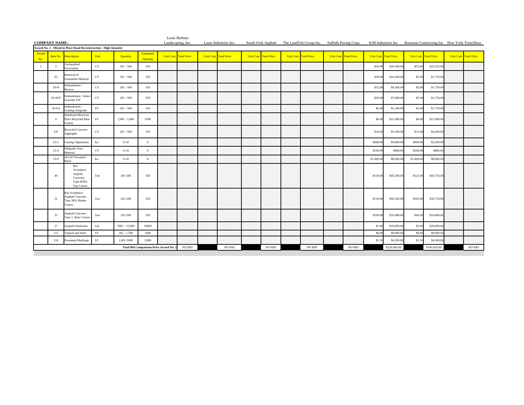| <b>COMPANY NAME:</b> |                                               |                                                                     |             |                 |                              | Louis Barbato<br>Landscaping, Inc. |        | Laser Industries Inc.        |                       | South Fork Asphalt The LandTek Group Inc. Suffolk Paving Corp. |                              |            | KJB Industries Inc. Rosemar Contracting Inc New York Trenchless |                              |              |                              |
|----------------------|-----------------------------------------------|---------------------------------------------------------------------|-------------|-----------------|------------------------------|------------------------------------|--------|------------------------------|-----------------------|----------------------------------------------------------------|------------------------------|------------|-----------------------------------------------------------------|------------------------------|--------------|------------------------------|
|                      |                                               | Award No. 2 - Mixed in Place Road Reconstruction - High Quantity    |             |                 |                              |                                    |        |                              |                       |                                                                |                              |            |                                                                 |                              |              |                              |
| Award<br>No.         |                                               | Item No. Description                                                | Unit        | <b>Quantity</b> | Estimated<br><b>Quantity</b> | <b>Unit Cost Total Price</b>       |        | <b>Unit Cost Total Price</b> | Unit Cost Total Price | <b>Unit Cost Total Price</b>                                   | <b>Unit Cost Total Price</b> |            | <b>Unit Cost Total Price</b>                                    | <b>Unit Cost Total Price</b> |              | <b>Unit Cost Total Price</b> |
| $\overline{2}$       | $\overline{2}$                                | <b>Jnclassified</b><br>Excavation                                   | $_{\rm CY}$ | $201 - 500$     | 350                          |                                    |        |                              |                       |                                                                |                              | \$30.00    | \$10,500.00                                                     | \$55.00                      | \$19,250.00  |                              |
|                      | 2U                                            | Removal of<br>Unsuitable Material                                   | CY          | $201 - 500$     | 350                          |                                    |        |                              |                       |                                                                |                              | \$30.00    | \$10,500.00                                                     | \$5.00                       | \$1,750.00   |                              |
|                      | $3S-B$                                        | Embankment -<br>Borrow                                              | $_{\rm CY}$ | $201 - 500$     | 350                          |                                    |        |                              |                       |                                                                |                              | \$12.00    | \$4,200.00                                                      | \$5.00                       | \$1,750.00   |                              |
|                      | 3S-SGF                                        | imbankment - Select<br>Granular Fill                                | CY          | $201 - 500$     | 350                          |                                    |        |                              |                       |                                                                |                              | \$20.00    | \$7,000.00                                                      | \$5.00                       | \$1,750.00   |                              |
|                      | $3S-GS$                                       | Embankment -<br><b>Grading Subgrade</b>                             | SY          | $201 - 500$     | 350                          |                                    |        |                              |                       |                                                                |                              | \$6.00     | \$2,100.00                                                      | \$5.00                       | \$1,750.00   |                              |
|                      | $\overline{4}$                                | Stabilized Mixed-In-<br>Place Recycled Base<br>Course               | SY          | $2,001 - 5,000$ | 3500                         |                                    |        |                              |                       |                                                                |                              | \$6.00     | \$21,000.00                                                     | \$6.00                       | \$21,000.00  |                              |
|                      | $4-P$                                         | Recycled Concrete<br>Aggregate                                      | CY          | $201 - 500$     | 350                          |                                    |        |                              |                       |                                                                |                              | \$10.00    | \$3,500.00                                                      | \$12.00                      | \$4,200.00   |                              |
|                      | $25-C$                                        | Casting Adjustment                                                  | Ea.         | $6 - 10$        | 8                            |                                    |        |                              |                       |                                                                |                              | \$600.00   | \$4,800.00                                                      | \$400.00                     | \$3,200.00   |                              |
|                      | $25-S$                                        | Subgrade Area<br>Material                                           | CY          | $6 - 10$        | 8                            |                                    |        |                              |                       |                                                                |                              | \$100.00   | \$800.00                                                        | \$100.00                     | \$800.00     |                              |
|                      | $25-P$                                        | 10'x10' Pavement<br>Patch                                           | Ea.         | $6 - 10$        | 8                            |                                    |        |                              |                       |                                                                |                              | \$1,000.00 | \$8,000.0                                                       | \$1,000.0                    | \$8,000.00   |                              |
|                      | 49                                            | Rut<br>Avoidance<br>Asphalt<br>Concrete,<br>Type 6FRA<br>Top Course | Ton         | 201-500         | 350                          |                                    |        |                              |                       |                                                                |                              | \$130.00   | \$45,500.00                                                     | \$125.00                     | \$43,750.00  |                              |
|                      | 52                                            | Rut Avoidance<br>Asphalt Concrete,<br>Type 3RA Binder<br>Course     | Ton         | 201-500         | 350                          |                                    |        |                              |                       |                                                                |                              | \$130.00   | \$45,500.00                                                     | \$105.00                     | \$36,750.00  |                              |
|                      | 55                                            | <b>Asphalt Concrete</b><br>Type 1, Base Course                      | Ton         | 201-500         | 350                          |                                    |        |                              |                       |                                                                |                              | \$100.00   | \$35,000,00                                                     | \$40.00                      | \$14,000.00  |                              |
|                      | 57                                            | <b>Asphalt Emulsions</b>                                            | Gal         | $5001 - 15,000$ | 10000                        |                                    |        |                              |                       |                                                                |                              | \$1.00     | \$10,000.0                                                      | \$2.00                       | \$20,000.00  |                              |
|                      | 112                                           | Topsoil and Seed                                                    | SY          | $501 - 1,500$   | 1000                         |                                    |        |                              |                       |                                                                |                              | \$8.00     | \$8,000.00                                                      | \$8.00                       | \$8,000.00   |                              |
|                      | 116                                           | <b>Pavement Markings</b>                                            | $\rm LF$    | 1,001-5000      | 3,000                        |                                    |        |                              |                       |                                                                |                              | \$1.50     | \$4,500.00                                                      | \$1.50                       | \$4,500.00   |                              |
|                      | <b>Total Bid Comparison Price Award No. 2</b> |                                                                     |             |                 |                              |                                    | NO BID | <b>NO BID</b>                | <b>NO BID</b>         | <b>NO BID</b>                                                  | NO BID                       |            | \$220,900.00                                                    |                              | \$190,450.00 | $NO$ $\rm BID$               |

**Contract**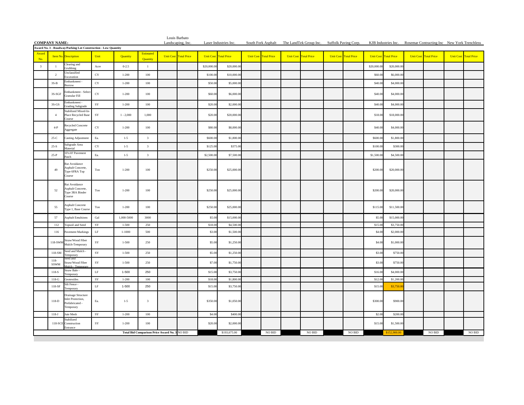| <b>COMPANY NAME:</b>    |                        |                                                                        |              |             |                                               | Landscaping, Inc. | Louis Barbato         |                       | Laser Industries Inc. |                  |                    |                  | South Fork Asphalt The LandTek Group Inc. Suffolk Paving Corp. |                              |             | KJB Industries Inc. Rosemar Contracting Inc New York Trenchless |                              |        |                  |                    |
|-------------------------|------------------------|------------------------------------------------------------------------|--------------|-------------|-----------------------------------------------|-------------------|-----------------------|-----------------------|-----------------------|------------------|--------------------|------------------|----------------------------------------------------------------|------------------------------|-------------|-----------------------------------------------------------------|------------------------------|--------|------------------|--------------------|
|                         |                        | Award No. 3 - Roadway/Parking Lot Construction - Low Quantity          |              |             |                                               |                   |                       |                       |                       |                  |                    |                  |                                                                |                              |             |                                                                 |                              |        |                  |                    |
| Award<br>No.            | Item No.               | <b>Description</b>                                                     | Unit         | Quantity    | Estimated<br>Quantity                         |                   | Unit Cost Total Price | Unit Cost Total Price |                       | <b>Unit Cost</b> | <b>Total Price</b> | <b>Unit Cost</b> | <b>Total Price</b>                                             | <b>Unit Cost</b> Total Price |             | Unit Cost Total Price                                           | <b>Unit Cost</b> Total Price |        | <b>Unit Cost</b> | <b>Total Price</b> |
| $\overline{\mathbf{3}}$ | $\mathbf{1}$           | Clearing and<br>rubbing                                                | Acre         | $0 - 2.5$   | $1\,$                                         |                   |                       | \$20,000.0            | \$20,000.0            |                  |                    |                  |                                                                |                              | \$20,000.00 | \$20,000.0                                                      |                              |        |                  |                    |
|                         | $\overline{2}$         | Inclassified<br>ixcavation                                             | $_{\rm CY}$  | $1 - 200$   | 100                                           |                   |                       | \$100.0               | \$10,000.0            |                  |                    |                  |                                                                |                              | \$60.00     | \$6,000.0                                                       |                              |        |                  |                    |
|                         | $3S-B$                 | mbankment<br>vorrow                                                    | $_{\rm CY}$  | $1 - 200$   | 100                                           |                   |                       | \$50.00               | \$5,000.0             |                  |                    |                  |                                                                |                              | \$40.00     | \$4,000.0                                                       |                              |        |                  |                    |
|                         | 3S-SGF                 | Embankment - Selec<br>Granular Fill                                    | CY           | $1 - 200$   | 100                                           |                   |                       | \$60.00               | \$6,000.00            |                  |                    |                  |                                                                |                              | \$40.00     | \$4,000.00                                                      |                              |        |                  |                    |
|                         | $3S-GS$                | mbankment-<br><b>irading Subgrade</b>                                  | SY           | $1 - 200$   | 100                                           |                   |                       | \$20.00               | \$2,000.0             |                  |                    |                  |                                                                |                              | \$40.00     | \$4,000.0                                                       |                              |        |                  |                    |
|                         | $\overline{4}$         | Stabilized Mixed-In<br>Place Recycled Base<br>'ourse                   | SY           | $1 - 2,000$ | 1,000                                         |                   |                       | \$20.00               | \$20,000.0            |                  |                    |                  |                                                                |                              | \$18.00     | \$18,000.0                                                      |                              |        |                  |                    |
|                         | $4-P$                  | Recycled Concrete<br>Aggregate                                         | CY           | $1 - 200$   | 100                                           |                   |                       | \$80.00               | \$8,000.00            |                  |                    |                  |                                                                |                              | \$40.00     | \$4,000.0                                                       |                              |        |                  |                    |
|                         | $25-C$                 | Casting Adjustment                                                     | Ea.          | $1-5$       | $\overline{\mathbf{3}}$                       |                   |                       | \$600.00              | \$1,800.00            |                  |                    |                  |                                                                |                              | \$600.00    | \$1,800.0                                                       |                              |        |                  |                    |
|                         | $25-S$                 | Subgrade Area<br>Material                                              | CY           | $1 - 5$     | $\overline{\mathbf{3}}$                       |                   |                       | \$125.00              | \$375.00              |                  |                    |                  |                                                                |                              | \$100.00    | \$300.0                                                         |                              |        |                  |                    |
|                         | $25-P$                 | 0'x10' Pavement<br>atch                                                | Ea.          | $1 - 5$     | $\overline{\mathbf{3}}$                       |                   |                       | \$2,500.0             | \$7,500.0             |                  |                    |                  |                                                                |                              | \$1,500.0   | \$4,500.0                                                       |                              |        |                  |                    |
|                         | 49                     | Rut Avoidance<br>Asphalt Concrete,<br>Type 6FRA Top<br>Course          | $_{\rm Ton}$ | $1 - 200$   | 100                                           |                   |                       | \$250.00              | \$25,000.00           |                  |                    |                  |                                                                |                              | \$200.00    | \$20,000.00                                                     |                              |        |                  |                    |
|                         | 52                     | Rut Avoidance<br>Asphalt Concrete,<br>Type 3RA Binder<br>Course        | Ton          | $1 - 200$   | 100                                           |                   |                       | \$250.00              | \$25,000.00           |                  |                    |                  |                                                                |                              | \$200.00    | \$20,000.00                                                     |                              |        |                  |                    |
|                         | 55                     | <b>Asphalt Concrete</b><br>Type 1, Base Cours                          | Ton          | $1 - 200$   | 100                                           |                   |                       | \$250.00              | \$25,000.00           |                  |                    |                  |                                                                |                              | \$115.00    | \$11,500.0                                                      |                              |        |                  |                    |
|                         | 57                     | <b>Asphalt Emulsions</b>                                               | Gal          | 1,000-5000  | 3000                                          |                   |                       | \$5.0                 | \$15,000.0            |                  |                    |                  |                                                                |                              | \$5.00      | \$15,000.                                                       |                              |        |                  |                    |
|                         | 112                    | Topsoil and Seed                                                       | SY           | $1 - 500$   | 250                                           |                   |                       | \$18.00               | \$4,500.00            |                  |                    |                  |                                                                |                              | \$15.0      | \$3,750.0                                                       |                              |        |                  |                    |
|                         | 116                    | Pavement Markings                                                      | $\rm LF$     | $1 - 1000$  | 500                                           |                   |                       | \$3.00                | \$1,500.0             |                  |                    |                  |                                                                |                              | \$4.00      | \$2,000.0                                                       |                              |        |                  |                    |
|                         | 118-SWM                | Straw/Wood Fiber<br>Mulch-Temporary                                    | SY           | $1 - 500$   | 250                                           |                   |                       | \$5.00                | \$1,250.00            |                  |                    |                  |                                                                |                              | \$4.00      | \$1,000.0                                                       |                              |        |                  |                    |
|                         | 118-SM                 | Seed and Mulch<br>emporary                                             | SY           | $1 - 500$   | 250                                           |                   |                       | \$5.00                | \$1,250.00            |                  |                    |                  |                                                                |                              | \$3.00      | \$750.0                                                         |                              |        |                  |                    |
|                         | $118 -$<br><b>SSWM</b> | seed and<br>Straw/Wood Fiber<br>fulch - Tempe                          | SY           | $1 - 500$   | 250                                           |                   |                       | \$7.00                | \$1,750.00            |                  |                    |                  |                                                                |                              | \$3.00      | \$750.0                                                         |                              |        |                  |                    |
|                         | 118-S                  | Straw Bale -<br>emporary                                               | $\rm LF$     | $1 - 500$   | 250                                           |                   |                       | \$15.0                | \$3,750.0             |                  |                    |                  |                                                                |                              | \$16.0      | \$4,000.0                                                       |                              |        |                  |                    |
|                         | $118-G$                | Geotextiles                                                            | SY           | $1 - 200$   | 100                                           |                   |                       | \$18.00               | \$1,800.00            |                  |                    |                  |                                                                |                              | \$12.00     | \$1,200.0                                                       |                              |        |                  |                    |
|                         | 118-SF                 | Silt Fence -<br>emporary                                               | $\rm LF$     | $1 - 500$   | 250                                           |                   |                       | \$15.00               | \$3,750.00            |                  |                    |                  |                                                                |                              | \$15.00     | \$3,750.                                                        |                              |        |                  |                    |
|                         | 118-D                  | Drainage Structure<br>nlet Protection,<br>Prefabricated -<br>Temporary | Ea.          | $1 - 5$     | $\overline{\mathbf{3}}$                       |                   |                       | \$350.00              | \$1,050.00            |                  |                    |                  |                                                                |                              | \$300.00    | \$900.0                                                         |                              |        |                  |                    |
|                         | $118-J$                | ute Mesh                                                               | SY           | $1 - 200$   | 100                                           |                   |                       | \$4.0                 | \$400.0               |                  |                    |                  |                                                                |                              | \$2.0       | \$200.0                                                         |                              |        |                  |                    |
|                         | 118-SCE                | Stabilized<br><b>Construction</b><br>Entrance                          | SY           | $1 - 200$   | 100                                           |                   |                       | \$20.00               | \$2,000.00            |                  |                    |                  |                                                                |                              | \$15.00     | \$1,500.00                                                      |                              |        |                  |                    |
|                         |                        |                                                                        |              |             | Total Bid Comparison Price Award No. 3 NO BID |                   |                       |                       | \$193,675.00          |                  | NO BID             |                  | $NO$ $\rm BID$                                                 | $NO$ $\rm BID$               |             | \$152,900.00                                                    |                              | NO BID |                  | $NO$ $\rm BID$     |

**Contract Contract Contract**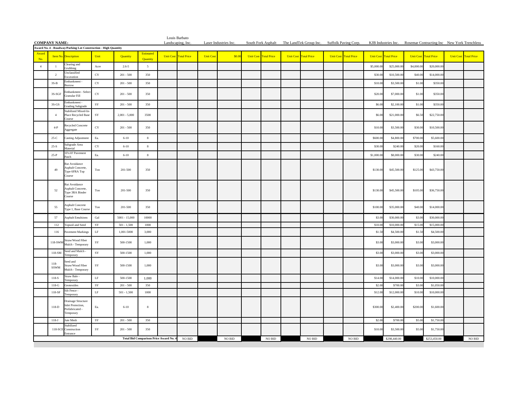|                | <b>COMPANY NAME:</b> |                                                                        |                               |                 |                                               | Landscaping, Inc. | Louis Barbato                |                  | Laser Industries Inc. |                       |                | South Fork Asphalt The LandTek Group Inc. Suffolk Paving Corp. |                       |            |                       |            | KJB Industries Inc. Rosemar Contracting Inc New York Trenchless |                  |                    |
|----------------|----------------------|------------------------------------------------------------------------|-------------------------------|-----------------|-----------------------------------------------|-------------------|------------------------------|------------------|-----------------------|-----------------------|----------------|----------------------------------------------------------------|-----------------------|------------|-----------------------|------------|-----------------------------------------------------------------|------------------|--------------------|
|                |                      | Award No. 4 - Roadway/Parking Lot Construction - High Quantity         |                               |                 |                                               |                   |                              |                  |                       |                       |                |                                                                |                       |            |                       |            |                                                                 |                  |                    |
| Award<br>No.   |                      | <b>Item No.</b> Description                                            | Unit                          | Quantity        | Estimated<br>Ouantity                         |                   | <b>Unit Cost Total Price</b> | <b>Unit Cost</b> | \$0.00                | Unit Cost Total Price |                | Unit Cost Total Price                                          | Unit Cost Total Price |            | Unit Cost Total Price |            | <b>Unit Cost</b> Total Price                                    | <b>Unit Cost</b> | <b>Total Price</b> |
| $\overline{4}$ | $\mathbf{1}$         | Clearing and<br>rubbing                                                | Acre                          | $2.6 - 5$       | 5                                             |                   |                              |                  |                       |                       |                |                                                                |                       | \$5,000.00 | \$25,000.0            | \$4,000.00 | \$20,000.00                                                     |                  |                    |
|                | $\overline{2}$       | Unclassified<br>Excavation                                             | $_{\rm CY}$                   | $201 - 500$     | 350                                           |                   |                              |                  |                       |                       |                |                                                                |                       | \$30.00    | \$10,500.00           | \$40.00    | \$14,000.00                                                     |                  |                    |
|                | $3S-B$               | Embankment<br>orrow                                                    | $_{\rm CY}$                   | $201 - 500$     | 350                                           |                   |                              |                  |                       |                       |                |                                                                |                       | \$10.00    | \$3,500.00            | \$1.00     | \$350.00                                                        |                  |                    |
|                | 3S-SGF               | mbankment - Selec<br>iranular Fill                                     | $\rm CY$                      | $201 - 500$     | 350                                           |                   |                              |                  |                       |                       |                |                                                                |                       | \$20.00    | \$7,000.00            | \$1.00     | \$350.00                                                        |                  |                    |
|                | $3S-GS$              | Embankment -<br><b>Grading Subgrade</b>                                | SY                            | $201 - 500$     | 350                                           |                   |                              |                  |                       |                       |                |                                                                |                       | \$6.00     | \$2,100.0             | \$1.00     | \$350.00                                                        |                  |                    |
|                | $\overline{4}$       | Stabilized Mixed-In<br>Place Recycled Base<br><b>Course</b>            | SY                            | $2,001 - 5,000$ | 3500                                          |                   |                              |                  |                       |                       |                |                                                                |                       | \$6.00     | \$21,000.00           | \$6.50     | \$22,750.00                                                     |                  |                    |
|                | $4-P$                | Recycled Concrete<br>Aggregate                                         | CY                            | $201 - 500$     | 350                                           |                   |                              |                  |                       |                       |                |                                                                |                       | \$10.00    | \$3,500.00            | \$30.00    | \$10,500.00                                                     |                  |                    |
|                | 25-C                 | Casting Adjustment                                                     | Ea.                           | $6 - 10$        | $\,$ 8 $\,$                                   |                   |                              |                  |                       |                       |                |                                                                |                       | \$600.00   | \$4,800.0             | \$700.00   | \$5,600.0                                                       |                  |                    |
|                | $25-S$               | ubgrade Area<br><b>Aaterial</b>                                        | $_{\rm CY}$                   | $6 - 10$        | $\,$ 8 $\,$                                   |                   |                              |                  |                       |                       |                |                                                                |                       | \$30.00    | \$240.0               | \$20.00    | \$160.00                                                        |                  |                    |
|                | $25-P$               | 10'x10' Pavement<br>atch                                               | Ea.                           | $6 - 10$        | $\,$ 8 $\,$                                   |                   |                              |                  |                       |                       |                |                                                                |                       | \$1,000.00 | \$8,000.0             | \$30.00    | \$240.00                                                        |                  |                    |
|                | 49                   | Rut Avoidance<br>Asphalt Concrete,<br>Type 6FRA Top<br>ourse           | $\operatorname{\mathsf{Top}}$ | 201-500         | 350                                           |                   |                              |                  |                       |                       |                |                                                                |                       | \$130.00   | \$45,500.00           | \$125.00   | \$43,750.00                                                     |                  |                    |
|                | 52                   | Rut Avoidance<br>Asphalt Concrete,<br>Type 3RA Binder<br>ourse         | $\operatorname{\mathsf{Top}}$ | 201-500         | 350                                           |                   |                              |                  |                       |                       |                |                                                                |                       | \$130.00   | \$45,500.00           | \$105.00   | \$36,750.00                                                     |                  |                    |
|                | 55                   | <b>Asphalt Concrete</b><br>Type 1, Base Course                         | $\operatorname{\mathsf{Top}}$ | 201-500         | 350                                           |                   |                              |                  |                       |                       |                |                                                                |                       | \$100.00   | \$35,000.00           | \$40.00    | \$14,000.00                                                     |                  |                    |
|                | 57                   | <b>Asphalt Emulsions</b>                                               | Gal                           | $5001 - 15,000$ | 10000                                         |                   |                              |                  |                       |                       |                |                                                                |                       | \$3.00     | \$30,000.0            | \$3.00     | \$30,000.00                                                     |                  |                    |
|                | 112                  | Topsoil and Seed                                                       | SY                            | $501 - 1,500$   | 1000                                          |                   |                              |                  |                       |                       |                |                                                                |                       | \$10.00    | \$10,000.0            | \$15.0     | \$15,000.00                                                     |                  |                    |
|                | 116                  | Pavement Markings                                                      | $\rm LF$                      | 1,001-5000      | 3,000                                         |                   |                              |                  |                       |                       |                |                                                                |                       | \$1.50     | \$4,500.0             | \$1.5      | \$4,500.0                                                       |                  |                    |
|                | 118-SWM              | Straw/Wood Fiber<br>Mulch - Temporary                                  | SY                            | 500-1500        | 1,000                                         |                   |                              |                  |                       |                       |                |                                                                |                       | \$3.00     | \$3,000.00            | \$3.00     | \$3,000.00                                                      |                  |                    |
|                | 118-SM               | Seed and Mulch -<br>Temporary                                          | $_{\rm SY}$                   | 500-1500        | 1,000                                         |                   |                              |                  |                       |                       |                |                                                                |                       | \$3.00     | \$3,000.0             | \$3.00     | \$3,000.00                                                      |                  |                    |
|                | $118-$<br>SSWM       | Seed and<br>Straw/Wood Fiber<br>Mulch - Temporary                      | SY                            | 500-1500        | 1,000                                         |                   |                              |                  |                       |                       |                |                                                                |                       | \$3.00     | \$3,000.00            | \$3.00     | \$3,000.00                                                      |                  |                    |
|                | 118-S                | Straw Bale -<br>emporary?                                              | $\rm LF$                      | 500-1500        | 1,000                                         |                   |                              |                  |                       |                       |                |                                                                |                       | \$14.00    | \$14,000.0            | \$10.0     | \$10,000.0                                                      |                  |                    |
|                | $118-G$              | ieotextiles                                                            | SY                            | $201 - 500$     | 350                                           |                   |                              |                  |                       |                       |                |                                                                |                       | \$2.00     | \$700.00              | \$3.00     | \$1,050.00                                                      |                  |                    |
|                | 118-SF               | Silt Fence -<br>emporary                                               | $\rm LF$                      | $501 - 1,500$   | 1000                                          |                   |                              |                  |                       |                       |                |                                                                |                       | \$12.00    | \$12,000.0            | \$10.0     | \$10,000.0                                                      |                  |                    |
|                | 118-D                | Drainage Structure<br>nlet Protection,<br>Prefabricated -<br>Temporary | Ea.                           | $6 - 10$        | $\,$ 8 $\,$                                   |                   |                              |                  |                       |                       |                |                                                                |                       | \$300.00   | \$2,400.00            | \$200.00   | \$1,600.00                                                      |                  |                    |
|                | $118-J$              | Jute Mesh                                                              | $_{\rm SY}$                   | $201 - 500$     | 350                                           |                   |                              |                  |                       |                       |                |                                                                |                       | \$2.00     | \$700.00              | \$5.00     | \$1,750.00                                                      |                  |                    |
|                | 118-SCE              | itabilized<br>Construction<br>Entrance                                 | SY                            | $201 - 500$     | 350                                           |                   |                              |                  |                       |                       |                |                                                                |                       | \$10.00    | \$3,500.00            | \$5.00     | \$1,750.00                                                      |                  |                    |
|                |                      |                                                                        |                               |                 | <b>Total Bid Comparison Price Award No. 4</b> |                   | NO BID                       |                  | $\rm NO$ $\rm BID$    |                       | $NO$ $\rm BID$ | $\rm NO$ $\rm BID$                                             | $NO$ $\rm BID$        |            | \$298,440.00          |            | \$253,450.00                                                    |                  | $\rm NO$ $\rm BID$ |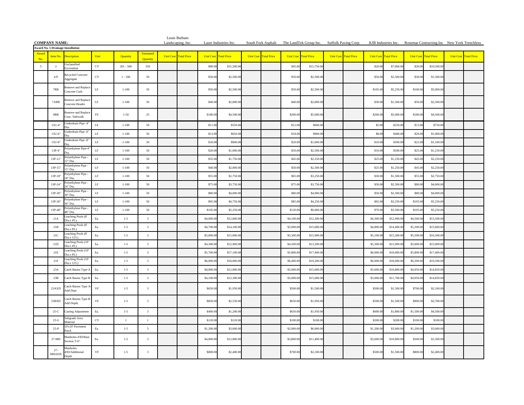|                | <b>COMPANY NAME:</b>   |                                                      |             |                    |                              |             | Louis Barbato<br>Landscaping, Inc. |                        | Laser Industries Inc.    |                              |                        | South Fork Asphalt The LandTek Group Inc. Suffolk Paving Corp. |                              |                          | KJB Industries Inc. Rosemar Contracting Inc New York Trenchless |                        |                            |                  |                    |
|----------------|------------------------|------------------------------------------------------|-------------|--------------------|------------------------------|-------------|------------------------------------|------------------------|--------------------------|------------------------------|------------------------|----------------------------------------------------------------|------------------------------|--------------------------|-----------------------------------------------------------------|------------------------|----------------------------|------------------|--------------------|
|                |                        | <b>Award No. 5 Drainage Installation</b>             |             |                    |                              |             |                                    |                        |                          |                              |                        |                                                                |                              |                          |                                                                 |                        |                            |                  |                    |
| Award<br>No    | Item No.               | <b>Description</b>                                   | Unit        | Quantity           | Estimated<br><b>Ouantity</b> | Unit Cost 1 | <b>Fotal Price</b>                 | <b>Unit Cost</b>       | <b>Total Price</b>       | <b>Unit Cost Total Price</b> | <b>Unit Cost</b>       | <b>Fotal Price</b>                                             | <b>Unit Cost Total Price</b> |                          | <b>Unit Cost Total Price</b>                                    | <b>Unit Cost</b>       | <b>Total Price</b>         | <b>Unit Cost</b> | <b>Total Price</b> |
| $\overline{5}$ | $\overline{2}$         | Inclassified<br>xcavation                            | CY          | $201 - 500$        | 350                          |             |                                    | \$90.0                 | \$31,500.0               |                              | \$45.0                 | \$15,750.00                                                    |                              | \$20.0                   | \$7,000.                                                        | \$30.0                 | \$10,500.0                 |                  |                    |
|                | $4-P$                  | Recycled Concrete<br>Aggregate                       | $_{\rm CY}$ | $1 - 100$          | 50                           |             |                                    | \$50.00                | \$2,500.0                |                              | \$50.0                 | \$2,500.00                                                     |                              | \$50.00                  | \$2,500.0                                                       | \$30.00                | \$1,500.00                 |                  |                    |
|                | 7RR                    | Remove and Replac<br>Concrete Curb                   | LF          | $1 - 100$          | 50                           |             |                                    | \$50.00                | \$2,500.00               |                              | \$50.00                | \$2,500.00                                                     |                              | \$105.00                 | \$5,250.00                                                      | \$100.00               | \$5,000.00                 |                  |                    |
|                | 7ARR                   | <b>Remove and Replac</b><br>Concrete Header          | $\rm LF$    | $1 - 100$          | 50                           |             |                                    | \$40.00                | \$2,000.00               |                              | \$40.0                 | \$2,000.00                                                     |                              | \$30.00                  | \$1,500.00                                                      | \$50.00                | \$2,500.00                 |                  |                    |
|                | 9RR                    | Remove and Replac<br>Conc. Sidewalk                  | SY          | $1 - 50$           | 25                           |             |                                    | \$180.00               | \$4,500.00               |                              | \$200.0                | \$5,000.00                                                     |                              | \$200.00                 | \$5,000.0                                                       | \$180.00               | \$4,500.00                 |                  |                    |
|                | 13U-4"                 | Jnderdrain Pipe -4                                   | $\rm LF$    | $1 - 100$          | 50                           |             |                                    | \$11.0                 | \$550.0                  |                              | \$12.0                 | \$600.0                                                        |                              | \$5.00                   | \$250.0                                                         | \$15.0                 | \$750.00                   |                  |                    |
|                | 13U-6"                 | Jnderdrain Pipe -6                                   | $\rm LF$    | $1 - 100$          | 50                           |             |                                    | \$13.0                 | \$650.0                  |                              | \$18.0                 | \$900.0                                                        |                              | \$8.00                   | \$400.0                                                         | \$20.0                 | \$1,000.0                  |                  |                    |
|                | 13U-8"                 | <b>Inderdrain Pipe -8</b>                            | $\rm LF$    | $1 - 100$          | 50                           |             |                                    | \$18.0                 | \$900.0                  |                              | \$20.0                 | \$1,000.0                                                      |                              | \$10.0                   | \$500.0                                                         | \$22.0                 | \$1,100.0                  |                  |                    |
|                | 13P-4"                 | olyethylene Pipe-4                                   | $\rm LF$    | $1 - 100$          | 50                           |             |                                    | \$20.0                 | \$1,000.0                |                              | \$50.0                 | \$2,500.0                                                      |                              | \$10.00                  | \$500.0                                                         | \$25.0                 | \$1,250.00                 |                  |                    |
|                | 13P-12"                | olyethylene Pipe<br>2" Dia                           | LF          | $1 - 100$          | 50                           |             |                                    | \$35.00                | \$1,750.00               |                              | \$45.0                 | \$2,250.00                                                     |                              | \$25.00                  | \$1,250.00                                                      | \$45.0                 | \$2,250.00                 |                  |                    |
|                | 13P-15"                | olyethylene Pipe<br>5" Dia                           | $\rm LF$    | $1 - 100$          | 50                           |             |                                    | \$40.00                | \$2,000.00               |                              | \$50.00                | \$2,500.00                                                     |                              | \$25.00                  | \$1,250.00                                                      | \$45.0                 | \$2,250.00                 |                  |                    |
|                | 13P-18"                | olyethylene Pipe<br><sup>2"</sup> Dia                | $\rm LF$    | $1 - 100$          | 50                           |             |                                    | \$55.00                | \$2,750.00               |                              | \$65.0                 | \$3,250.00                                                     |                              | \$30.00                  | \$1,500.00                                                      | \$55.00                | \$2,750.00                 |                  |                    |
|                | 13P-24"                | olyethylene Pipe<br>4" Dia.<br>olyethylene Pipe      | $\rm LF$    | $1 - 100$          | 50                           |             |                                    | \$75.00                | \$3,750.00               |                              | \$75.0                 | \$3,750.00                                                     |                              | \$50.00                  | \$2,500.0                                                       | \$80.0                 | \$4,000.00                 |                  |                    |
|                | 13P-30"                | 0" Dia.<br>olyethylene Pipe                          | $\rm LF$    | $1 - 100$          | 50                           |             |                                    | \$80.00                | \$4,000.00               |                              | \$80.0                 | \$4,000.00                                                     |                              | \$50.00                  | \$2,500.0                                                       | \$80.00                | \$4,000.00                 |                  |                    |
|                | 13P-36"                | 6" Dia.<br>olyethylene Pipe                          | $\rm LF$    | $1 - 100$          | 50                           |             |                                    | \$95.00                | \$4,750.00               |                              | \$85.0                 | \$4,250.00                                                     |                              | \$65.00                  | \$3,250.0                                                       | \$105.00               | \$5,250.00                 |                  |                    |
|                | 13P-48"                | 8" Dia<br>eaching Pools (8'                          | $\rm LF$    | $1 - 100$          | 50                           |             |                                    | \$105.00               | \$5,250.0                |                              | \$120.0                | \$6,000.00                                                     |                              | \$70.00                  | \$3,500.0                                                       | \$105.0                | \$5,250.00                 |                  |                    |
|                | 21A                    | ia.x 4'L)<br>eaching Pools (8'                       | Ea.         | $1 - 5$            | $\overline{\mathbf{3}}$      |             |                                    | \$4,000.0              | \$12,000.0               |                              | \$4,100.0              | \$12,300.0                                                     |                              | \$4,300.00               | \$12,900.0                                                      | \$4,500.0              | \$13,500.00                |                  |                    |
|                | 21B<br>21C             | ia.x 8'L)<br>eaching Pools (8'                       | Ea.<br>Ea.  | $1 - 5$<br>$1 - 5$ | $\mathbf{3}$<br>$\mathbf{3}$ |             |                                    | \$4,700.0<br>\$5,000.0 | \$14,100.0<br>\$15,000.0 |                              | \$5,000.0<br>\$5,300.0 | \$15,000.0<br>\$15,900.0                                       |                              | \$4,800.00<br>\$5,100.00 | \$14,400.<br>\$15,300.                                          | \$5,200.0<br>\$5,500.0 | \$15,600.00<br>\$16,500.00 |                  |                    |
|                | 21D                    | ia.x 12'L)<br>eaching Pools (10'                     | Ea.         | $1 - 5$            | $\mathbf{3}$                 |             |                                    | \$4,300.0              | \$12,900.0               |                              | \$4,500.0              | \$13,500.0                                                     |                              | \$5,300.00               | \$15,900.                                                       | \$5,000.0              | \$15,000.00                |                  |                    |
|                | $21E$                  | $ia x 4T$ .)<br>eaching Pools (10'                   | Ea.         | $1 - 5$            | $\overline{\mathbf{3}}$      |             |                                    | \$5,700.0              | \$17,100.0               |                              | \$5,800.0              | \$17,400.00                                                    |                              | \$6,000.00               | \$18,000.0                                                      | \$5,800.0              | \$17,400.00                |                  |                    |
|                | 21F                    | dia x 8T.)<br>eaching Pools (10'<br>$\frac{1}{2}$ L) | Ea.         | $1 - 5$            | $\overline{3}$               |             |                                    | \$6,000.00             | \$18,000.00              |                              | \$6,400.0              | \$19,200.00                                                    |                              | \$6,000.00               | \$18,000.0                                                      | \$6,500.0              | \$19,500.00                |                  |                    |
|                | 23A                    | Catch Basins Type A                                  | Ea.         | $1 - 5$            | $_{\rm 3}$                   |             |                                    | \$4,000.00             | \$12,000.00              |                              | \$5,000.0              | \$15,000.00                                                    |                              | \$3,600.00               | \$10,800.0                                                      | \$4,950.0              | \$14,850.00                |                  |                    |
|                | 23B                    | Catch Basins Type B                                  | Ea.         | $1 - 5$            | $_{\rm 3}$                   |             |                                    | \$4,100.00             | \$12,300.00              |                              | \$5,000.0              | \$15,000.00                                                    |                              | \$3,900.00               | \$11,700.0                                                      | \$4,950.0              | \$14,850.00                |                  |                    |
|                | 23AXD                  | Catch Basins Type A<br>Add Dept                      | $_{\rm VF}$ | $1-5$              | $\mathbf{3}$                 |             |                                    | \$650.00               | \$1,950.00               |                              | \$500.0                | \$1,500.00                                                     |                              | \$500.00                 | \$1,500.0                                                       | \$700.0                | \$2,100.00                 |                  |                    |
|                | 23BXD                  | latch Basins Type B<br>Add Depth                     | $_{\rm VF}$ | $1-5$              | $\mathbf{3}$                 |             |                                    | \$850.00               | \$2,550.00               |                              | \$650.00               | \$1,950.00                                                     |                              | \$500.00                 | \$1,500.0                                                       | \$900.00               | \$2,700.00                 |                  |                    |
|                | $25-C$                 | lasting Adjustment                                   | Ea.         | $1 - 5$            | $\overline{\mathbf{3}}$      |             |                                    | \$400.0                | \$1,200.0                |                              | \$650.0                | \$1,950.0                                                      |                              | \$600.0                  | \$1,800.0                                                       | \$1,500.0              | \$4,500.0                  |                  |                    |
|                | $25-S$                 | Subgrade Area<br>Material                            | $_{\rm CY}$ | $\overline{1}$     | $\mathbf{1}$                 |             |                                    | \$120.0                | \$120.0                  |                              | \$100.0                | \$100.0                                                        |                              | \$200.0                  | \$200.0                                                         | \$100.0                | \$100.0                    |                  |                    |
|                | $25-P$                 | 0'x10' Pavement<br>atch                              | Ea.         | $1 - 5$            | $\mathbf{3}$                 |             |                                    | \$1,200.0              | \$3,600.0                |                              | \$2,000.0              | \$6,000.0                                                      |                              | \$1,200.0                | \$3,600.0                                                       | \$1,200.0              | \$3,600.0                  |                  |                    |
|                | 27-MH                  | Manholes-4TD/Bas<br>section 3'-6"                    | Ea.         | $1-5$              | $\mathbf{3}$                 |             |                                    | \$4,000.00             | \$12,000.00              |                              | \$3,800.00             | \$11,400.00                                                    |                              | \$3,600.00               | \$10,800.00                                                     | \$500.00               | \$1,500.00                 |                  |                    |
|                | $27 -$<br><b>MHADX</b> | Manholes-<br>4TD/Additional<br>Depth                 | VF          | $1-5$              | $\mathbf{3}$                 |             |                                    | \$800.00               | \$2,400.00               |                              | \$700.00               | \$2,100.00                                                     |                              | \$500.00                 | \$1,500.00                                                      | \$800.00               | \$2,400.00                 |                  |                    |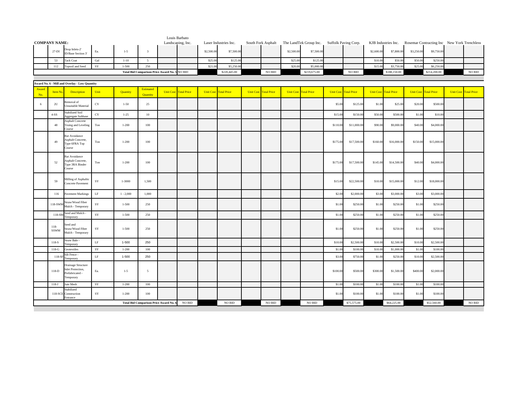|                      |                |                                                                        |                               |             |                                               | Louis Barbato                |            |                              |                              |            |                              |          |                              |            |                              |            |                                             |                              |                    |
|----------------------|----------------|------------------------------------------------------------------------|-------------------------------|-------------|-----------------------------------------------|------------------------------|------------|------------------------------|------------------------------|------------|------------------------------|----------|------------------------------|------------|------------------------------|------------|---------------------------------------------|------------------------------|--------------------|
| <b>COMPANY NAME:</b> |                |                                                                        |                               |             |                                               | Landscaping, Inc.            |            | Laser Industries Inc.        | South Fork Asphalt           |            | The LandTek Group Inc.       |          | Suffolk Paving Corp.         |            | KJB Industries Inc.          |            | Rosemar Contracting Inc New York Trenchless |                              |                    |
|                      | $27-DI$        | Drop Inlets-2'<br>ID/Base Section 3'                                   | Ea.                           | $1 - 5$     | $\overline{\mathbf{3}}$                       |                              | \$2,500.00 | \$7,500.00                   |                              | \$2,500.00 | \$7,500.00                   |          |                              | \$2,600.00 | \$7,800.00                   | \$3,250.00 | \$9,750.00                                  |                              |                    |
|                      | 53             | Tack Coat                                                              | Gal                           | $1 - 10$    | 5 <sup>5</sup>                                |                              | \$25.00    | \$125.00                     |                              | \$25.00    | \$125.0                      |          |                              | \$10.00    | \$50.00                      | \$50.0     | \$250.00                                    |                              |                    |
|                      | 112            | Topsoil and Seed                                                       | SY                            | 1-500       | 250                                           |                              | \$21.00    | \$5,250.00                   |                              | \$20.00    | \$5,000.0                    |          |                              | \$15.00    | \$3,750.0                    | \$25.0     | \$6,250.0                                   |                              |                    |
|                      |                |                                                                        |                               |             | Total Bid Comparison Price Award No. 5 NO BID |                              |            | \$220,445.00                 | NO BID                       |            | \$219,675.00                 |          | NO BID                       |            | \$188,150.00                 |            | \$214,200.00                                |                              | $NO$ $\rm BID$     |
|                      |                |                                                                        |                               |             |                                               |                              |            |                              |                              |            |                              |          |                              |            |                              |            |                                             |                              |                    |
|                      |                | Award No. 6 - Mill and Overlay - Low Quantity                          |                               |             |                                               |                              |            |                              |                              |            |                              |          |                              |            |                              |            |                                             |                              |                    |
| Award                |                |                                                                        |                               |             | Estimated                                     |                              |            |                              |                              |            |                              |          |                              |            |                              |            |                                             |                              |                    |
| No.                  | <b>Item No</b> | Description                                                            | Unit                          | Quantity    | Quantity                                      | <b>Unit Cost Total Price</b> |            | <b>Unit Cost Total Price</b> | <b>Unit Cost Total Price</b> |            | <b>Unit Cost Total Price</b> |          | <b>Unit Cost Total Price</b> |            | <b>Unit Cost Total Price</b> |            | <b>Unit Cost Total Price</b>                | <b>Unit Cost Total Price</b> |                    |
| 6                    | $2\mathrm{U}$  | Removal of<br>Unsuitable Material                                      | CY                            | $1 - 50$    | 25                                            |                              |            |                              |                              |            |                              | \$5.00   | \$125.00                     | \$1.00     | \$25.00                      | \$20.00    | \$500.00                                    |                              |                    |
|                      | $4-SS$         | Stabilized Soil<br>Aggregate Subbase                                   | $_{\rm CY}$                   | $1 - 25$    | $10\,$                                        |                              |            |                              |                              |            |                              | \$15.00  | \$150.00                     | \$50.00    | \$500.00                     | \$1.00     | \$10.00                                     |                              |                    |
|                      | 48             | <b>Asphalt Concrete</b><br>Truing and Leveling<br>Course               | Ton                           | $1 - 200$   | 100                                           |                              |            |                              |                              |            |                              | \$110.00 | \$11,000.00                  | \$90.00    | \$9,000.00                   | \$40.00    | \$4,000.00                                  |                              |                    |
|                      | 49             | Rut Avoidance<br>Asphalt Concrete,<br>Type 6FRA Top<br>Course          | Ton                           | $1 - 200$   | 100                                           |                              |            |                              |                              |            |                              | \$175.00 | \$17,500.00                  | \$160.00   | \$16,000.00                  | \$150.00   | \$15,000.00                                 |                              |                    |
|                      | 52             | Rut Avoidance<br>Asphalt Concrete,<br>Type 3RA Binder<br>Course        | $\operatorname{\mathsf{Top}}$ | $1 - 200$   | 100                                           |                              |            |                              |                              |            |                              | \$175.00 | \$17,500.00                  | \$145.00   | \$14,500.00                  | \$40.00    | \$4,000.00                                  |                              |                    |
|                      | 59             | Milling of Asphaltic<br>Concrete Pavement                              | SY                            | 1-3000      | 1,500                                         |                              |            |                              |                              |            |                              | \$15.00  | \$22,500.00                  | \$10.00    | \$15,000.00                  | \$12.00    | \$18,000.00                                 |                              |                    |
|                      | 116            | Pavement Markings                                                      | $\rm LF$                      | $1 - 2,000$ | 1,000                                         |                              |            |                              |                              |            |                              | \$2.0    | \$2,000.0                    | \$3.00     | \$3,000.0                    | \$3.0      | \$3,000.00                                  |                              |                    |
|                      | 118-SWM        | Straw/Wood Fiber<br>Mulch - Temporary                                  | SY                            | $1 - 500$   | 250                                           |                              |            |                              |                              |            |                              | \$1.00   | \$250.00                     | \$1.00     | \$250.00                     | \$1.00     | \$250.00                                    |                              |                    |
|                      | 118-SM         | Seed and Mulch -<br>Temporary                                          | ${\rm SY}$                    | $1 - 500$   | 250                                           |                              |            |                              |                              |            |                              | \$1.00   | \$250.00                     | \$1.00     | \$250.00                     | \$1.00     | \$250.00                                    |                              |                    |
|                      | $118-$<br>SSWM | Seed and<br>Straw/Wood Fiber<br>Mulch - Temporary                      | SY                            | $1 - 500$   | 250                                           |                              |            |                              |                              |            |                              | \$1.00   | \$250.00                     | \$1.00     | \$250.00                     | \$1.00     | \$250.00                                    |                              |                    |
|                      | 118-S          | Straw Bale -<br>Temporary                                              | $\rm LF$                      | $1 - 500$   | 250                                           |                              |            |                              |                              |            |                              | \$10.0   | \$2,500.00                   | \$10.00    | \$2,500.00                   | \$10.00    | \$2,500.00                                  |                              |                    |
|                      | $118-G$        | Geotextiles                                                            | SY                            | $1 - 200$   | 100                                           |                              |            |                              |                              |            |                              | \$1.0    | \$100.00                     | \$10.00    | \$1,000.00                   | \$1.00     | \$100.00                                    |                              |                    |
|                      | 118-SI         | Silt Fence -<br>Femporary                                              | $\rm LF$                      | $1 - 500$   | 250                                           |                              |            |                              |                              |            |                              | \$3.0    | \$750.0                      | \$1.00     | \$250.0                      | \$10.0     | \$2,500.00                                  |                              |                    |
|                      | 118-D          | Drainage Structure<br>nlet Protection,<br>Prefabricated -<br>Temporary | Ea.                           | $1 - 5$     | $5\overline{ }$                               |                              |            |                              |                              |            |                              | \$100.00 | \$500.00                     | \$300.00   | \$1,500.00                   | \$400.00   | \$2,000.00                                  |                              |                    |
|                      | $118-J$        | Jute Mesh                                                              | SY                            | $1 - 200$   | 100                                           |                              |            |                              |                              |            |                              | \$1.00   | \$100.00                     | \$1.00     | \$100.00                     | \$1.00     | \$100.00                                    |                              |                    |
|                      | 118-SCE        | Stabilized<br>Construction<br>Entrance                                 | SY                            | $1 - 200$   | 100                                           |                              |            |                              |                              |            |                              | \$1.00   | \$100.00                     | \$1.00     | \$100.00                     | \$1.00     | \$100.00                                    |                              |                    |
|                      |                |                                                                        |                               |             | Total Bid Comparison Price Award No. 6        | NO BID                       |            | NO BID                       | $\rm NO$ $\rm BID$           |            | NO BID                       |          | \$75,575.00                  |            | \$64,225.00                  |            | \$52,560.00                                 |                              | $\rm NO$ $\rm BID$ |
|                      |                |                                                                        |                               |             |                                               |                              |            |                              |                              |            |                              |          |                              |            |                              |            |                                             |                              |                    |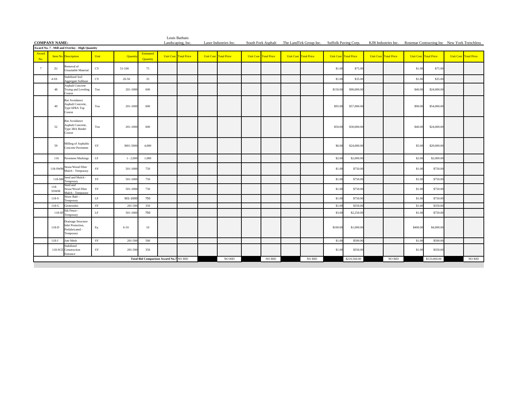|                      |                |                                                                         |             |               |                                        | Louis Barbato                |                              |                       |                              |                |                                                                                                                                |          |                              |                              |          |                              |                              |                    |
|----------------------|----------------|-------------------------------------------------------------------------|-------------|---------------|----------------------------------------|------------------------------|------------------------------|-----------------------|------------------------------|----------------|--------------------------------------------------------------------------------------------------------------------------------|----------|------------------------------|------------------------------|----------|------------------------------|------------------------------|--------------------|
| <b>COMPANY NAME:</b> |                | Award No. 7 - Mill and Overlay - High Quantity                          |             |               |                                        | Landscaping, Inc.            |                              | Laser Industries Inc. |                              |                | South Fork Asphalt The LandTek Group Inc. Suffolk Paving Corp. KJB Industries Inc. Rosemar Contracting Inc New York Trenchless |          |                              |                              |          |                              |                              |                    |
| Award                |                |                                                                         |             |               | Estimated                              |                              |                              |                       |                              |                |                                                                                                                                |          |                              |                              |          |                              |                              |                    |
| No.                  |                | <b>Item No.</b> Description                                             | Unit        | <b>Quanti</b> | Quantity                               | <b>Unit Cost Total Price</b> | <b>Unit Cost Total Price</b> |                       | <b>Unit Cost Total Price</b> |                | <b>Unit Cost Total Price</b>                                                                                                   |          | <b>Unit Cost Total Price</b> | <b>Unit Cost Total Price</b> |          | <b>Unit Cost Total Price</b> | <b>Unit Cost Total Price</b> |                    |
| 7                    | 2U             | Removal of<br>Unsuitable Material                                       | $_{\rm CY}$ | 51-100        | 75                                     |                              |                              |                       |                              |                |                                                                                                                                | \$1.00   | \$75.00                      |                              | \$1.00   | \$75.00                      |                              |                    |
|                      | $4-SS$         | <b>Stabilized Soil</b><br>Aggregate Subbase                             | $_{\rm CY}$ | 26-50         | 35                                     |                              |                              |                       |                              |                |                                                                                                                                | \$1.00   | \$35.00                      |                              | \$1.00   | \$35.00                      |                              |                    |
|                      | 48             | <b>Asphalt Concrete</b><br>Truing and Leveling<br>Course                | Ton         | 201-1000      | 600                                    |                              |                              |                       |                              |                |                                                                                                                                | \$150.00 | \$90,000.00                  |                              | \$40.00  | \$24,000.00                  |                              |                    |
|                      | 49             | Rut Avoidance<br>Asphalt Concrete,<br>Type 6FRA Top<br>Course           | Ton         | 201-1000      | 600                                    |                              |                              |                       |                              |                |                                                                                                                                | \$95.00  | \$57,000.00                  |                              | \$90.00  | \$54,000.00                  |                              |                    |
|                      | 52             | Rut Avoidance<br>Asphalt Concrete,<br>Type 3RA Binder<br>Course         | Ton         | 201-1000      | 600                                    |                              |                              |                       |                              |                |                                                                                                                                | \$50.00  | \$30,000.00                  |                              | \$40.00  | \$24,000.00                  |                              |                    |
|                      | 59             | Milling of Asphaltic<br>Concrete Pavement                               | SY          | 3001-5000     | 4,000                                  |                              |                              |                       |                              |                |                                                                                                                                | \$6.00   | \$24,000.00                  |                              | \$5.00   | \$20,000.00                  |                              |                    |
|                      | 116            | <b>Pavement Markings</b>                                                | LF          | $1 - 2,000$   | 1,000                                  |                              |                              |                       |                              |                |                                                                                                                                | \$2.00   | \$2,000.00                   |                              | \$2.00   | \$2,000.00                   |                              |                    |
|                      | 118-SWM        | Straw/Wood Fiber<br>Mulch - Temporary                                   | $_{\rm SY}$ | 501-1000      | 750                                    |                              |                              |                       |                              |                |                                                                                                                                | \$1.00   | \$750.00                     |                              | \$1.00   | \$750.00                     |                              |                    |
|                      | 118-SM         | Seed and Mulch -<br>Temporary                                           | $_{\rm SY}$ | 501-1000      | 750                                    |                              |                              |                       |                              |                |                                                                                                                                | \$1.00   | \$750.00                     |                              | \$1.00   | \$750.00                     |                              |                    |
|                      | $118-$<br>SSWM | Seed and<br>Straw/Wood Fiber<br>fulch - Tamporar                        | SY          | 501-1000      | 750                                    |                              |                              |                       |                              |                |                                                                                                                                | \$1.00   | \$750.00                     |                              | \$1.00   | \$750.00                     |                              |                    |
|                      | 118-S          | Straw Bale -<br>Temporary                                               | $\rm LF$    | 501-1000      | 750                                    |                              |                              |                       |                              |                |                                                                                                                                | \$1.00   | \$750.00                     |                              | \$1.00   | \$750.00                     |                              |                    |
|                      | $118-G$        | Geotextiles                                                             | SY          | 201-500       | 350                                    |                              |                              |                       |                              |                |                                                                                                                                | \$1.00   | \$350.00                     |                              | \$1.00   | \$350.00                     |                              |                    |
|                      | 118-SF         | Silt Fence -<br>Temporary                                               | $\rm LF$    | 501-1000      | 750                                    |                              |                              |                       |                              |                |                                                                                                                                | \$3.00   | \$2,250.00                   |                              | \$1.00   | \$750.00                     |                              |                    |
|                      | 118-D          | Drainage Structure<br>Inlet Protection,<br>Prefabricated -<br>Temporary | Ea.         | $6 - 10$      | 10 <sup>°</sup>                        |                              |                              |                       |                              |                |                                                                                                                                | \$100.00 | \$1,000.00                   |                              | \$400.00 | \$4,000.00                   |                              |                    |
|                      | $118-J$        | Jute Mesh                                                               | SY          | 201-500       | 500                                    |                              |                              |                       |                              |                |                                                                                                                                | \$1.00   | \$500.00                     |                              | \$1.00   | \$500.00                     |                              |                    |
|                      |                | Stabilized<br>118-SCE Construction<br>Entrance                          | SY          | 201-500       | 350                                    |                              |                              |                       |                              |                |                                                                                                                                | \$1.00   | \$350.00                     |                              | \$1.00   | \$350.00                     |                              |                    |
|                      |                |                                                                         |             |               | Total Bid Comparison Award No.7 NO BID |                              |                              | NO BID                |                              | $NO$ $\rm BID$ | <b>NO BID</b>                                                                                                                  |          | \$210,560.00                 | $\rm NO$ $\rm BID$           |          | \$133,060.00                 |                              | $\rm NO$ $\rm BID$ |
|                      |                |                                                                         |             |               |                                        |                              |                              |                       |                              |                |                                                                                                                                |          |                              |                              |          |                              |                              |                    |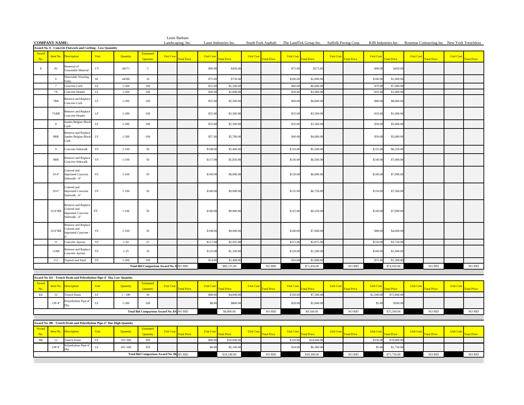|                      |                 |                                                                          |             |           |                                          |                   | Louis Barbato      |                  |                       |                  |                    |                  |                                                                |                  |                    |                 |                    |                  |                                                                 |                  |                    |
|----------------------|-----------------|--------------------------------------------------------------------------|-------------|-----------|------------------------------------------|-------------------|--------------------|------------------|-----------------------|------------------|--------------------|------------------|----------------------------------------------------------------|------------------|--------------------|-----------------|--------------------|------------------|-----------------------------------------------------------------|------------------|--------------------|
| <b>COMPANY NAME:</b> |                 | Award No. 8 - Concrete Flatwork and Curbing - Low Quanitity              |             |           |                                          | Landscaping, Inc. |                    |                  | Laser Industries Inc. |                  |                    |                  | South Fork Asphalt The LandTek Group Inc. Suffolk Paving Corp. |                  |                    |                 |                    |                  | KJB Industries Inc. Rosemar Contracting Inc New York Trenchless |                  |                    |
| Award<br>No.         | Item No.        | <b>Description</b>                                                       | Unit        | Quantity  | Estimated<br><b>Ouantity</b>             | <b>Unit Cos</b>   | <b>Total Price</b> | <b>Unit Cost</b> | <b>Total Price</b>    | <b>Unit Cost</b> | <b>Total Price</b> | <b>Unit Cost</b> | otal Price                                                     | <b>Unit Cost</b> | <b>Total Price</b> | <b>Unit Cos</b> | <b>Total Price</b> | <b>Unit Cost</b> | <b>Total Price</b>                                              | <b>Unit Cost</b> | <b>Total Price</b> |
| 8                    | 2U              | Removal of<br>Insuitable Material                                        | CY          | 44571     | 5                                        |                   |                    | \$90.00          | \$450.0               |                  |                    | \$75.00          | \$375.00                                                       |                  |                    | \$90.00         | \$450.0            |                  |                                                                 |                  |                    |
|                      | 6               | Detectable Warning<br>nite                                               | $\rm SF$    | 44586     | 10                                       |                   |                    | \$75.0           | \$750.0               |                  |                    | \$200.0          | \$2,000.0                                                      |                  |                    | \$100.0         | \$1,000.0          |                  |                                                                 |                  |                    |
|                      | $7\phantom{.0}$ | Concrete Curb                                                            | $\rm LF$    | $1 - 200$ | 100                                      |                   |                    | \$55.00          | \$5,500.00            |                  |                    | \$60.0           | \$6,000.00                                                     |                  |                    | \$70.00         | \$7,000.0          |                  |                                                                 |                  |                    |
|                      | 7A              | Concrete Header                                                          | LF          | $1 - 200$ | 100                                      |                   |                    | \$20.0           | \$2,000.0             |                  |                    | \$30.0           | \$3,000.0                                                      |                  |                    | \$10.0          | \$1,000.0          |                  |                                                                 |                  |                    |
|                      | 7RR             | Remove and Replac<br>Concrete Curb                                       | $\rm LF$    | $1 - 200$ | 100                                      |                   |                    | \$55.00          | \$5,500.00            |                  |                    | \$60.00          | \$6,000.00                                                     |                  |                    | \$80.00         | \$8,000.0          |                  |                                                                 |                  |                    |
|                      | 7ARR            | Remove and Replace<br>oncrete Header                                     | $\rm LF$    | $1 - 200$ | $100\,$                                  |                   |                    | \$25.0           | \$2,500.0             |                  |                    | \$35.0           | \$3,500.00                                                     |                  |                    | \$10.00         | \$1,000.0          |                  |                                                                 |                  |                    |
|                      | 8               | umbo Belgian Bloc<br>urb                                                 | $\rm LF$    | $1 - 200$ | 100                                      |                   |                    | \$55.0           | \$5,500.0             |                  |                    | \$35.0           | \$3,500.0                                                      |                  |                    | \$50.0          | \$5,000.0          |                  |                                                                 |                  |                    |
|                      | $8{\rm RR}$     | Remove and Replace<br>Jumbo Belgian Block<br>`urb                        | LF          | $1 - 200$ | 100                                      |                   |                    | \$57.00          | \$5,700.00            |                  |                    | \$40.00          | \$4,000.00                                                     |                  |                    | \$50.00         | \$5,000.0          |                  |                                                                 |                  |                    |
|                      | 9               | oncrete Sidewalk                                                         | SY          | $1 - 100$ | 50                                       |                   |                    | \$108.0          | \$5,400.0             |                  |                    | \$110.0          | \$5,500.00                                                     |                  |                    | \$125.00        | \$6,250.0          |                  |                                                                 |                  |                    |
|                      | 9RR             | Remove and Replace<br>Concrete Sidewalk                                  | SY          | $1 - 100$ | 50                                       |                   |                    | \$117.00         | \$5,850.00            |                  |                    | \$130.00         | \$6,500.00                                                     |                  |                    | \$140.00        | \$7,000.00         |                  |                                                                 |                  |                    |
|                      | $10-4"$         | Colored and<br><b>Imprinted Concrete</b><br>Sidewalk - 4"                | $_{\rm SY}$ | $1 - 100$ | 50                                       |                   |                    | \$160.00         | \$8,000.00            |                  |                    | \$120.00         | \$6,000.00                                                     |                  |                    | \$140.00        | \$7,000.00         |                  |                                                                 |                  |                    |
|                      | $10-6"$         | <b>Colored</b> and<br><b>Imprinted Concrete</b><br>Sidewalk - 6"         | SY          | $1 - 100$ | 50                                       |                   |                    | \$180.00         | \$9,000.00            |                  |                    | \$135.00         | \$6,750.00                                                     |                  |                    | \$150.00        | \$7,500.00         |                  |                                                                 |                  |                    |
|                      | $10-4$ "RR      | Remove and Replace<br>Colored and<br>Imprinted Concrete<br>Sidewalk - 4" | SY          | $1 - 100$ | 50                                       |                   |                    | \$180.00         | \$9,000.00            |                  |                    | \$125.00         | \$6,250.00                                                     |                  |                    | \$140.00        | \$7,000.00         |                  |                                                                 |                  |                    |
|                      | 10-6"RR         | Remove and Replace<br><b>Colored</b> and<br><b>Imprinted Concrete</b>    | ${\rm SY}$  | $1 - 100$ | 50                                       |                   |                    | \$198.00         | \$9,900.00            |                  |                    | \$140.00         | \$7,000.00                                                     |                  |                    | \$80.00         | \$4,000.00         |                  |                                                                 |                  |                    |
|                      | 11              | Concrete Aprons                                                          | $_{\rm SY}$ | $1 - 50$  | 25                                       |                   |                    | \$117.0          | \$2,925.0             |                  |                    | \$115.0          | \$2,875.0                                                      |                  |                    | \$150.00        | \$3,750.0          |                  |                                                                 |                  |                    |
|                      | 11RR            | Remove and Replace<br>Concrete Aprons                                    | $_{\rm SY}$ | $1 - 25$  | $10\,$                                   |                   |                    | \$135.00         | \$1,350.0             |                  |                    | \$120.00         | \$1,200.00                                                     |                  |                    | \$160.00        | \$1,600.0          |                  |                                                                 |                  |                    |
|                      | 112             | Topsoil and Seed                                                         | SY          | $1 - 200$ | 100                                      |                   |                    | \$14.0           | \$1,400.0             |                  |                    | \$10.0           | \$1,000.00                                                     |                  |                    | \$15.00         | \$1,500.0          |                  |                                                                 |                  |                    |
|                      |                 |                                                                          |             |           | Total Bid Comparison Award No. 8 NO BID  |                   |                    |                  | \$80,725.00           |                  | $NO$ $\rm BID$     |                  | \$71,450.00                                                    |                  | $\rm NO$ $\rm BID$ |                 | \$74,050.00        |                  | NO BID                                                          |                  | $\rm NO$ $\rm BID$ |
|                      |                 | Award No. 8A - Trench Drain and Polyethylene Pipe-4" Dia. Low Quantity   |             |           |                                          |                   |                    |                  |                       |                  |                    |                  |                                                                |                  |                    |                 |                    |                  |                                                                 |                  |                    |
| Award<br>No          | Item No.        | escription                                                               | Unit        | Quantity  | Estimated<br>Quantity                    | <b>Unit Cos</b>   | <b>otal Price</b>  | <b>Unit Cos</b>  | otal Price            | <b>Unit Cost</b> | <b>Total Price</b> | <b>Unit Cost</b> | otal Price                                                     | <b>Unit Cos</b>  | otal Price         | <b>Unit Cos</b> | <b>otal Price</b>  | <b>Unit Cos</b>  | <b>Total Price</b>                                              | <b>Unit Cost</b> | <b>otal Price</b>  |
| $8\mathrm{A}$        | 12              | <b>Trench Drain</b>                                                      | LF          | $1 - 100$ | 50                                       |                   |                    | \$80.00          | \$4,000.0             |                  |                    | \$150.0          | \$7,500.00                                                     |                  |                    | \$1,500.00      | \$75,000.0         |                  |                                                                 |                  |                    |
|                      | $13P-4"$        | Polyethylene Pipe-4<br>Dia.                                              | $\rm LF$    | $1 - 200$ | 100                                      |                   |                    | \$8.00           | \$800.00              |                  |                    | \$20.0           | \$2,000.00                                                     |                  |                    | \$5.00          | \$500.0            |                  |                                                                 |                  |                    |
|                      |                 |                                                                          |             |           | Total Bid Comparison Award No. 8A NO BID |                   |                    |                  | \$4,800.00            |                  | $\rm NO$ $\rm BID$ |                  | \$9,500.00                                                     |                  | $\rm NO$ $\rm BID$ |                 | \$75,500.00        |                  | NO BID                                                          |                  | $\rm NO$ $\rm BID$ |
|                      |                 | Award No. 8B - Trench Drain and Polyethylene Pipe-4" Dia. High Quantity  |             |           |                                          |                   |                    |                  |                       |                  |                    |                  |                                                                |                  |                    |                 |                    |                  |                                                                 |                  |                    |
| Award<br>No.         | Item No.        | <b>Description</b>                                                       | Unit        | Quantity  | <b>Estimated</b><br>Quantity             | <b>Unit Cost</b>  | <b>Total Price</b> | <b>Unit Cos</b>  | otal Price            | <b>Unit Cost</b> | otal Price         | <b>Unit Cost</b> | otal Price                                                     | <b>Unit Cost</b> | otal Price         | <b>Unit Cos</b> | otal Price         | <b>Unit Cost</b> | otal Price                                                      | <b>Unit Cost</b> | otal Price         |
| $8\,\mathrm{B}$      | 12              | <b>Trench Drain</b>                                                      | LF          | 101-300   | 200                                      |                   |                    | \$80.00          | \$16,000.0            |                  |                    | \$120.00         | \$24,000.00                                                    |                  |                    | \$350.00        | \$70,000.0         |                  |                                                                 |                  |                    |
|                      | $13P-4"$        | olyethylene Pipe-4                                                       | $\rm LF$    | 201-500   | 350                                      |                   |                    | \$6.0            | \$2,100.0             |                  |                    | \$18.00          | \$6,300.00                                                     |                  |                    | \$5.00          | \$1,750.0          |                  |                                                                 |                  |                    |
|                      |                 |                                                                          |             |           | Total Bid Comparison Award No. 8b NO BID |                   |                    |                  | \$18,100.00           |                  | NO BID             |                  | \$30,300.00                                                    |                  | NO BID             |                 | \$71,750.00        |                  | NO BID                                                          |                  | NO BID             |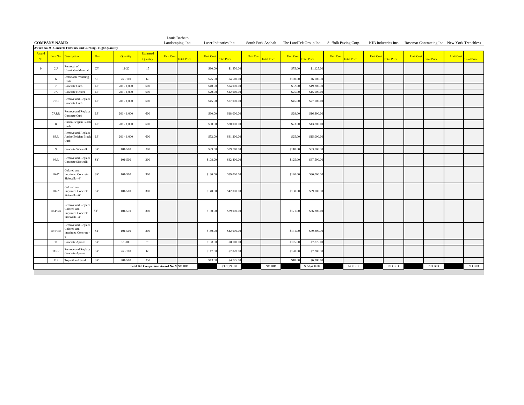|       |                      |                                                                                 |             |               |                                         |                  | Louis Barbato      |                  |                       |                  |                    |                  |                                                                |                  |                    |                  |                    |                                                                 |                    |                  |             |
|-------|----------------------|---------------------------------------------------------------------------------|-------------|---------------|-----------------------------------------|------------------|--------------------|------------------|-----------------------|------------------|--------------------|------------------|----------------------------------------------------------------|------------------|--------------------|------------------|--------------------|-----------------------------------------------------------------|--------------------|------------------|-------------|
|       | <b>COMPANY NAME:</b> | Award No. 9 - Concrete Flatwork and Curbing - High Quanitity                    |             |               |                                         |                  | Landscaping, Inc.  |                  | Laser Industries Inc. |                  |                    |                  | South Fork Asphalt The LandTek Group Inc. Suffolk Paving Corp. |                  |                    |                  |                    | KJB Industries Inc. Rosemar Contracting Inc New York Trenchless |                    |                  |             |
| Award |                      |                                                                                 |             |               | Estimated                               |                  |                    |                  |                       |                  |                    |                  |                                                                |                  |                    |                  |                    |                                                                 |                    |                  |             |
| No.   |                      | Item No. Description                                                            | Unit        | Quantity      | Quantity                                | <b>Unit Cost</b> | <b>Cotal Price</b> | <b>Unit Cost</b> | <b>Total Price</b>    | <b>Unit Cost</b> | <b>Total Price</b> | <b>Unit Cost</b> | <b>Total Price</b>                                             | <b>Unit Cost</b> | <b>Total Price</b> | <b>Unit Cost</b> | <b>Total Price</b> | <b>Unit Cost</b>                                                | <b>Total Price</b> | <b>Unit Cost</b> | Total Price |
| 9     | 2U                   | Removal of<br><b>Unsuitable Material</b>                                        | $_{\rm CY}$ | $11-20$       | 15                                      |                  |                    | \$90.00          | \$1,350.00            |                  |                    | \$75.00          | \$1,125.00                                                     |                  |                    |                  |                    |                                                                 |                    |                  |             |
|       | -6                   | Detectable Warning<br>Jnits                                                     | <b>SF</b>   | $26 - 100$    | 60                                      |                  |                    | \$75.00          | \$4,500.00            |                  |                    | \$100.00         | \$6,000.0                                                      |                  |                    |                  |                    |                                                                 |                    |                  |             |
|       | $\overline{7}$       | Concrete Curb                                                                   | $\rm LF$    | $201 - 1,000$ | 600                                     |                  |                    | \$40.00          | \$24,000.00           |                  |                    | \$32.00          | \$19,200.00                                                    |                  |                    |                  |                    |                                                                 |                    |                  |             |
|       | <b>7A</b>            | Concrete Header                                                                 | LF          | $201 - 1,000$ | 600                                     |                  |                    | \$20.00          | \$12,000.0            |                  |                    | \$25.0           | \$15,000.0                                                     |                  |                    |                  |                    |                                                                 |                    |                  |             |
|       | 7RR                  | Remove and Replace<br>Concrete Curb                                             | $\rm LF$    | $201 - 1,000$ | 600                                     |                  |                    | \$45.00          | \$27,000.00           |                  |                    | \$45.00          | \$27,000.00                                                    |                  |                    |                  |                    |                                                                 |                    |                  |             |
|       | 7ARR                 | Remove and Replace<br>Concrete Curb                                             | $\rm LF$    | $201 - 1,000$ | 600                                     |                  |                    | \$30.00          | \$18,000.00           |                  |                    | \$28.00          | \$16,800.00                                                    |                  |                    |                  |                    |                                                                 |                    |                  |             |
|       | 8                    | umbo Belgian Block<br>Curb                                                      | LF          | $201 - 1,000$ | 600                                     |                  |                    | \$50.00          | \$30,000.00           |                  |                    | \$23.00          | \$13,800.00                                                    |                  |                    |                  |                    |                                                                 |                    |                  |             |
|       | 8RR                  | Remove and Replace<br>Jumbo Belgian Block<br>Curb                               | LF          | $201 - 1,000$ | 600                                     |                  |                    | \$52.00          | \$31,200.00           |                  |                    | \$25.00          | \$15,000.00                                                    |                  |                    |                  |                    |                                                                 |                    |                  |             |
|       | Q                    | Concrete Sidewalk                                                               | SY          | 101-500       | 300                                     |                  |                    | \$99.00          | \$29,700.0            |                  |                    | \$110.00         | \$33,000.00                                                    |                  |                    |                  |                    |                                                                 |                    |                  |             |
|       | 9RR                  | Remove and Replace<br>Concrete Sidewalk                                         | ${\rm SY}$  | 101-500       | 300                                     |                  |                    | \$108.00         | \$32,400.00           |                  |                    | \$125.00         | \$37,500.00                                                    |                  |                    |                  |                    |                                                                 |                    |                  |             |
|       | $10-4"$              | Colored and<br><b>Imprinted Concrete</b><br>Sidewalk - 4"                       | SY          | 101-500       | 300                                     |                  |                    | \$130.00         | \$39,000.00           |                  |                    | \$120.00         | \$36,000.00                                                    |                  |                    |                  |                    |                                                                 |                    |                  |             |
|       | $10-6"$              | Colored and<br><b>Imprinted Concrete</b><br>Sidewalk - 6"                       | SY          | 101-500       | 300                                     |                  |                    | \$140.00         | \$42,000.00           |                  |                    | \$130.00         | \$39,000.00                                                    |                  |                    |                  |                    |                                                                 |                    |                  |             |
|       | $10-4$ "RR           | Remove and Replace<br>Colored and<br><b>Imprinted Concrete</b><br>Sidewalk - 4" | SY          | 101-500       | 300                                     |                  |                    | \$130.00         | \$39,000.00           |                  |                    | \$121.00         | \$36,300.00                                                    |                  |                    |                  |                    |                                                                 |                    |                  |             |
|       | 10-6"RR              | Remove and Replace<br>Colored and<br><b>Imprinted Concrete</b>                  | SY          | 101-500       | 300                                     |                  |                    | \$140.00         | \$42,000.00           |                  |                    | \$131.00         | \$39,300.00                                                    |                  |                    |                  |                    |                                                                 |                    |                  |             |
|       | 11                   | Concrete Aprons                                                                 | SY          | 51-100        | 75                                      |                  |                    | \$108.00         | \$8,100.00            |                  |                    | \$105.00         | \$7,875.00                                                     |                  |                    |                  |                    |                                                                 |                    |                  |             |
|       | 11RR                 | Remove and Replace<br>Concrete Aprons                                           | SY          | $26 - 100$    | 60                                      |                  |                    | \$117.00         | \$7,020.00            |                  |                    | \$120.00         | \$7,200.00                                                     |                  |                    |                  |                    |                                                                 |                    |                  |             |
|       | 112                  | Topsoil and Seed                                                                | SY          | 201-500       | 350                                     |                  |                    | \$13.50          | \$4,725.00            |                  |                    | \$18.00          | \$6,300.00                                                     |                  |                    |                  |                    |                                                                 |                    |                  |             |
|       |                      |                                                                                 |             |               | Total Bid Comparison Award No. 9 NO BID |                  |                    |                  | \$391,995.00          |                  | $\rm NO$ $\rm BID$ |                  | \$356,400.00                                                   |                  | NO BID             |                  | NO BID             |                                                                 | $\rm NO$ $\rm BID$ |                  | NO BID      |
|       |                      |                                                                                 |             |               |                                         |                  |                    |                  |                       |                  |                    |                  |                                                                |                  |                    |                  |                    |                                                                 |                    |                  |             |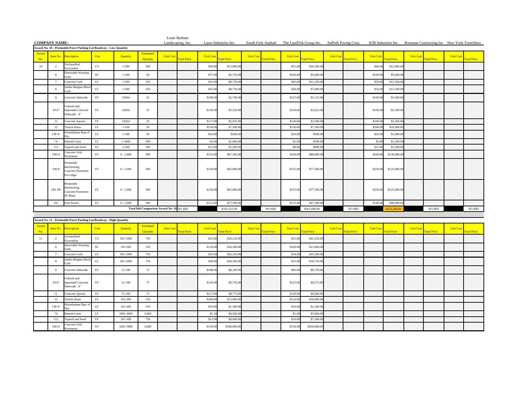| <b>COMPANY NAME:</b> |                |                                                                    |           |                 |                                          |                  | Louis Barbato<br>Landscaping, Inc. |                  | Laser Industries Inc. |                  |                    |                  |                    | South Fork Asphalt The LandTek Group Inc. Suffolk Paving Corp. |                  | KJB Industries Inc. Rosemar Contracting Inc New York Trenchless |                  |                    |                  |                    |
|----------------------|----------------|--------------------------------------------------------------------|-----------|-----------------|------------------------------------------|------------------|------------------------------------|------------------|-----------------------|------------------|--------------------|------------------|--------------------|----------------------------------------------------------------|------------------|-----------------------------------------------------------------|------------------|--------------------|------------------|--------------------|
|                      |                | Award No. 10 - Permeable Paver Parking Lot/Roadway - Low Quantity  |           |                 |                                          |                  |                                    |                  |                       |                  |                    |                  |                    |                                                                |                  |                                                                 |                  |                    |                  |                    |
| Award<br>No.         |                | Item No. Description                                               | Unit      | <b>Quantity</b> | <b>Estimated</b><br>Quantity             | <b>Unit Cost</b> | <b>Total Price</b>                 | <b>Unit Cost</b> | <b>Total Price</b>    | <b>Unit Cost</b> | <b>Total Price</b> | <b>Unit Cost</b> | <b>Total Price</b> | <b>Unit Cost</b><br><b>Total Price</b>                         | <b>Unit Cost</b> | <b>Total Price</b>                                              | <b>Unit Cost</b> | <b>Total Price</b> | <b>Unit Cost</b> | <b>Total Price</b> |
| 10                   | $\mathfrak{D}$ | Jnclassified<br>Excavation                                         | CY        | $1 - 500$       | 300                                      |                  |                                    | \$50.00          | \$15,000.00           |                  |                    | \$55.00          | \$16,500.00        |                                                                | \$40.00          | \$12,000.00                                                     |                  |                    |                  |                    |
|                      |                | Detectable Warning<br>Jnits                                        | <b>SF</b> | $1 - 100$       | 50                                       |                  |                                    | \$75.00          | \$3,750.00            |                  |                    | \$100.00         | \$5,000.00         |                                                                | \$100.00         | \$5,000.00                                                      |                  |                    |                  |                    |
|                      |                | Concrete Curb                                                      | LF        | $1 - 500$       | 250                                      |                  |                                    | \$35.00          | \$8,750.00            |                  |                    | \$45.00          | \$11,250.0         |                                                                | \$50.00          | \$12,500.0                                                      |                  |                    |                  |                    |
|                      |                | Jumbo Belgian Block<br>Curb                                        | LF        | $1 - 500$       | 250                                      |                  |                                    | \$35.00          | \$8,750.00            |                  |                    | \$28.00          | \$7,000.00         |                                                                | \$50.00          | \$12,500.00                                                     |                  |                    |                  |                    |
|                      | $\mathbf Q$    | Concrete Sidewalk                                                  | SY        | 18264           | 25                                       |                  |                                    | \$108.00         | \$2,700.00            |                  |                    | \$125.00         | \$3,125.00         |                                                                | \$100.00         | \$2,500.00                                                      |                  |                    |                  |                    |
|                      | $10-4"$        | Colored and<br><b>Imprinted Concrete</b><br>Sidewalk - 4"          | SY        | 18264           | 25                                       |                  |                                    | \$130.00         | \$3,250.00            |                  |                    | \$145.00         | \$3,625.00         |                                                                | \$100.00         | \$2,500.00                                                      |                  |                    |                  |                    |
|                      | -11            | Concrete Aprons                                                    | SY        | 18264           | 25                                       |                  |                                    | \$117.00         | \$2,925.00            |                  |                    | \$140.00         | \$3,500.00         |                                                                | \$100.00         | \$2,500.00                                                      |                  |                    |                  |                    |
|                      | 12             | <b>Trench Drain</b>                                                | LF        | $1 - 100$       | 50                                       |                  |                                    | \$150.00         | \$7,500.00            |                  |                    | \$150.00         | \$7,500.0          |                                                                | \$200.00         | \$10,000.0                                                      |                  |                    |                  |                    |
|                      | $13P-4"$       | Polyethylene Pipe-4"                                               | LF        | $1 - 100$       | 50                                       |                  |                                    | \$10.00          | \$500.00              |                  |                    | \$10.00          | \$500.00           |                                                                | \$20.00          | \$1,000.00                                                      |                  |                    |                  |                    |
|                      | 74             | Painted Lines                                                      | LF        | $1 - 1000$      | 500                                      |                  |                                    | \$2.00           | \$1,000.00            |                  |                    | \$1.00           | \$500.0            |                                                                | \$3.00           | \$1,500.00                                                      |                  |                    |                  |                    |
|                      | 112            | Topsoil and Seed                                                   | SY        | $1 - 200$       | 100                                      |                  |                                    | \$12.00          | \$1,200.00            |                  |                    | \$8.00           | \$800.0            |                                                                | \$12.00          | \$1,200.0                                                       |                  |                    |                  |                    |
|                      | $190-O$        | Concrete Grid<br>Pavements                                         | SY        | $0 - 1,000$     | 500                                      |                  |                                    | \$135.00         | \$67,500.00           |                  |                    | \$160.00         | \$80,000.00        |                                                                | \$260.00         | \$130,000.00                                                    |                  |                    |                  |                    |
|                      | $190-P$        | Permeable<br>nterlocking<br>Concrete Pavement<br>Eco-ridge         | SY        | $0 - 1,000$     | 500                                      |                  |                                    | \$130.00         | \$65,000.00           |                  |                    | \$155.00         | \$77,500.00        |                                                                | \$250.00         | \$125,000.00                                                    |                  |                    |                  |                    |
|                      | 190-PP         | Permeable<br>nterlocking<br>Concrete Pavement<br>SF-Rima           | SY        | $0 - 1.000$     | 500                                      |                  |                                    | \$130.00         | \$65,000.00           |                  |                    | \$155.00         | \$77,500.00        |                                                                | \$250.00         | \$125,000.00                                                    |                  |                    |                  |                    |
|                      | 191            | <b>Unit Pavers</b>                                                 | SY        | $0 - 1,000$     | 500                                      |                  |                                    | \$115.00         | \$57,500.00           |                  |                    | \$135.00         | \$67,500.00        |                                                                | \$180.00         | \$90,000,00                                                     |                  |                    |                  |                    |
|                      |                |                                                                    |           |                 | Total Bid Comparison Award No. 10 NO BID |                  |                                    |                  | \$310,325.00          |                  | $\rm NO$ $\rm BID$ |                  | \$361,800.00       |                                                                | NO BID           | \$533,200.00                                                    |                  | $\rm NO$ $\rm BID$ |                  | NO BID             |
|                      |                | Award No. 11 - Permeable Paver Parking Lot/Roadway - High Quantity |           |                 |                                          |                  |                                    |                  |                       |                  |                    |                  |                    |                                                                |                  |                                                                 |                  |                    |                  |                    |

| Award<br>No. |          | <b>Item No.</b> Description                               | Unit      | <b>Quantity</b> | Estimated<br>Quantity | Unit Cost | <b>Total Price</b> | <b>Unit Cost</b> | <b>Total Price</b> | <b>Unit Cost</b> | <b>Total Price</b> | <b>Unit Cost</b> | <b>Total Price</b> | <b>Unit Cost</b> | <b>Total Price</b> | <b>Unit Cost</b> | <b>Total Price</b> | Unit Cost | <b>Total Price</b> | <b>Unit Cost</b> | <b>Total Price</b> |
|--------------|----------|-----------------------------------------------------------|-----------|-----------------|-----------------------|-----------|--------------------|------------------|--------------------|------------------|--------------------|------------------|--------------------|------------------|--------------------|------------------|--------------------|-----------|--------------------|------------------|--------------------|
| 11           |          | Unclassified<br>Excavation                                | CY        | 501-1000        | 750                   |           |                    | \$35.00          | \$26,250.00        |                  |                    | \$55.00          | \$41,250.00        |                  |                    |                  |                    |           |                    |                  |                    |
|              |          | Detectable Warning<br>Units                               | <b>SF</b> | 101-200         | 150                   |           |                    | \$110.00         | \$16,500.00        |                  |                    | \$100.00         | \$15,000.00        |                  |                    |                  |                    |           |                    |                  |                    |
|              |          | Concrete Curb                                             | LF        | 501-1000        | 750                   |           |                    | \$35.00          | \$26,250.00        |                  |                    | \$34.00          | \$25,500.00        |                  |                    |                  |                    |           |                    |                  |                    |
|              |          | Jumbo Belgian Block<br>Curb                               | LF        | 501-1000        | 750                   |           |                    | \$38.00          | \$28,500.00        |                  |                    | \$25.00          | \$18,750.00        |                  |                    |                  |                    |           |                    |                  |                    |
|              |          | Concrete Sidewalk                                         | <b>SY</b> | 51-100          | 75                    |           |                    | \$108.00         | \$8,100.00         |                  |                    | \$90.00          | \$6,750.00         |                  |                    |                  |                    |           |                    |                  |                    |
|              | $10-4"$  | Colored and<br><b>Imprinted Concrete</b><br>Sidewalk - 4" | SY        | 51-100          | 75                    |           |                    | \$130.00         | \$9,750.00         |                  |                    | \$125.00         | \$9,375.00         |                  |                    |                  |                    |           |                    |                  |                    |
|              |          | Concrete Aprons                                           | SY        | 51-100          | 75                    |           |                    | \$117.00         | \$8,775.00         |                  |                    | \$120.00         | \$9,000.00         |                  |                    |                  |                    |           |                    |                  |                    |
|              |          | Trench Drain                                              | LF        | 101-200         | 150                   |           |                    | \$100.00         | \$15,000.00        |                  |                    | \$120.00         | \$18,000.00        |                  |                    |                  |                    |           |                    |                  |                    |
|              | $13P-4"$ | Polyethylene Pipe -4"<br>Dia.                             | LF        | 101-200         | 150                   |           |                    | \$10.00          | \$1,500.00         |                  |                    | \$10.00          | \$1,500.00         |                  |                    |                  |                    |           |                    |                  |                    |
|              | 74       | <b>Painted Lines</b>                                      | LF        | 1001-5000       | 3,000                 |           |                    | \$1.50           | \$4,500.00         |                  |                    | \$1.00           | \$3,000.00         |                  |                    |                  |                    |           |                    |                  |                    |
|              | 112      | Topsoil and Seed                                          | SY        | 201-500         | 750                   |           |                    | \$12.00          | \$9,000.00         |                  |                    | \$10.00          | \$7,500.00         |                  |                    |                  |                    |           |                    |                  |                    |
|              | 190-Q    | Concrete Grid<br>Pavements                                | SY        | 1001-5000       | 3,000                 |           |                    | \$130.00         | \$390,000.00       |                  |                    | \$150.00         | \$450,000.00       |                  |                    |                  |                    |           |                    |                  |                    |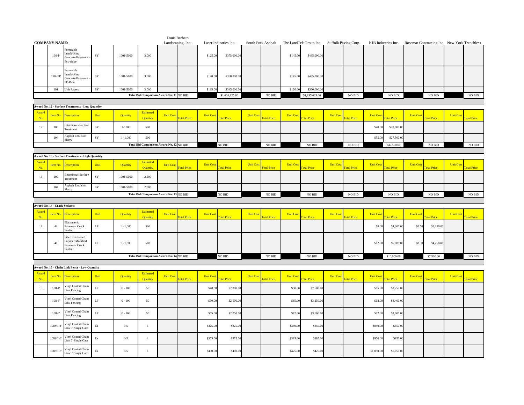|                      |                                      |                                                                          |           |             |                                          |                  | Louis Barbato     |                  |                       |                 |                    |                  |                                                                |                  |                    |                  |                                                                 |                  |                    |                  |                    |
|----------------------|--------------------------------------|--------------------------------------------------------------------------|-----------|-------------|------------------------------------------|------------------|-------------------|------------------|-----------------------|-----------------|--------------------|------------------|----------------------------------------------------------------|------------------|--------------------|------------------|-----------------------------------------------------------------|------------------|--------------------|------------------|--------------------|
| <b>COMPANY NAME:</b> |                                      |                                                                          |           |             |                                          |                  | Landscaping, Inc. |                  | Laser Industries Inc. |                 |                    |                  | South Fork Asphalt The LandTek Group Inc. Suffolk Paving Corp. |                  |                    |                  | KJB Industries Inc. Rosemar Contracting Inc New York Trenchless |                  |                    |                  |                    |
|                      | $190-P$                              | ermeable<br>Interlocking<br>Concrete Pavement<br>co-ridge                | $\rm SY$  | 1001-5000   | 3,000                                    |                  |                   | \$125.00         | \$375,000.00          |                 |                    | \$145.00         | \$435,000.00                                                   |                  |                    |                  |                                                                 |                  |                    |                  |                    |
|                      | 190-PP                               | ermeable<br>nterlocking<br>Concrete Pavement<br>SF-Rima                  | SY        | 1001-5000   | 3,000                                    |                  |                   | \$120.00         | \$360,000.0           |                 |                    | \$145.00         | \$435,000.00                                                   |                  |                    |                  |                                                                 |                  |                    |                  |                    |
|                      | 191                                  | <b>Unit Pavers</b>                                                       | SY        | 1001-5000   | 3,000                                    |                  |                   | \$115.00         | \$345,000.0           |                 |                    | \$120.00         | \$360,000.0                                                    |                  |                    |                  |                                                                 |                  |                    |                  |                    |
|                      |                                      |                                                                          |           |             | Total Bid Comparison Award No. 11 NO BID |                  |                   |                  | \$1,624,125.00        |                 | NO BID             |                  | \$1,835,625.00                                                 |                  | $\rm NO$ $\rm BID$ |                  | $\rm NO$ $\rm BID$                                              |                  | $\rm NO$ $\rm BID$ |                  | $NO$ $\rm BID$     |
|                      |                                      |                                                                          |           |             |                                          |                  |                   |                  |                       |                 |                    |                  |                                                                |                  |                    |                  |                                                                 |                  |                    |                  |                    |
|                      |                                      | <b>Award No. 12 - Surface Treatments - Low Quantity</b>                  |           |             |                                          |                  |                   |                  |                       |                 |                    |                  |                                                                |                  |                    |                  |                                                                 |                  |                    |                  |                    |
| Award                | Item No.                             | <b>Description</b>                                                       | Unit      | Quantity    | Estimated                                | <b>Unit Cost</b> |                   | <b>Unit Cost</b> |                       | <b>Unit Cos</b> |                    | <b>Unit Cos</b>  |                                                                | <b>Unit Cost</b> |                    | <b>Unit Cost</b> |                                                                 | <b>Unit Cost</b> |                    | <b>Unit Cos</b>  |                    |
| No.                  |                                      |                                                                          |           |             | Ouantity                                 |                  | <b>otal Price</b> |                  | otal Price            |                 | otal Price         |                  | otal Price                                                     |                  | <b>otal Price</b>  |                  | otal Price                                                      |                  | <b>otal Price</b>  |                  | otal Price         |
| 12                   | 100                                  | <b>Bituminous Surface</b><br>Treatment                                   | SY        | $1 - 1000$  | 500                                      |                  |                   |                  |                       |                 |                    |                  |                                                                |                  |                    | \$40.00          | \$20,000.00                                                     |                  |                    |                  |                    |
|                      | 104                                  | <b>Asphalt Emulsion</b><br>Slurry                                        | SY        | $1 - 1,000$ | 500                                      |                  |                   |                  |                       |                 |                    |                  |                                                                |                  |                    | \$55.00          | \$27,500.0                                                      |                  |                    |                  |                    |
|                      |                                      |                                                                          |           |             | Total Bid Comparison Award No. 12 NO BID |                  |                   |                  | NO BID                |                 | $\rm NO$ $\rm BID$ |                  | NO BID                                                         |                  | $\rm NO$ $\rm BID$ |                  | \$47,500.00                                                     |                  | $NO$ $BID$         |                  | $\rm NO$ $\rm BID$ |
|                      |                                      |                                                                          |           |             |                                          |                  |                   |                  |                       |                 |                    |                  |                                                                |                  |                    |                  |                                                                 |                  |                    |                  |                    |
|                      |                                      | Award No. 13 - Surface Treatments - High Quantity                        |           |             |                                          |                  |                   |                  |                       |                 |                    |                  |                                                                |                  |                    |                  |                                                                 |                  |                    |                  |                    |
| Aware<br>No.         | Item No.                             | <b>Description</b>                                                       | Unit      | Quantity    | Estimated<br>Quantity                    | <b>Unit Cost</b> | otal Price        | <b>Unit Cost</b> | <b>otal Price</b>     | <b>Unit Cos</b> | otal Price         | <b>Unit Cos</b>  | <b>Total Price</b>                                             | <b>Unit Cost</b> | <b>otal Price</b>  | <b>Unit Cost</b> | <b>otal Price</b>                                               | <b>Unit Cost</b> | <b>otal Price</b>  | <b>Unit Cost</b> | <b>Total Price</b> |
| 13                   | 100                                  | situminous Surface<br>reatment                                           | SY        | 1001-5000   | 2,500                                    |                  |                   |                  |                       |                 |                    |                  |                                                                |                  |                    |                  |                                                                 |                  |                    |                  |                    |
|                      | 104                                  | <b>Asphalt Emulsion</b>                                                  | SY        | 1001-5000   | 2,500                                    |                  |                   |                  |                       |                 |                    |                  |                                                                |                  |                    |                  |                                                                 |                  |                    |                  |                    |
|                      |                                      | Slurry                                                                   |           |             | Total Bid Comparison Award No. 13 NO BID |                  |                   |                  |                       |                 |                    |                  | NO BID                                                         |                  | $\rm NO$ $\rm BID$ |                  | $\rm NO$ $\rm BID$                                              |                  | $\rm NO$ $\rm BID$ |                  | NO BID             |
|                      |                                      |                                                                          |           |             |                                          |                  |                   |                  |                       |                 |                    |                  |                                                                |                  |                    |                  |                                                                 |                  |                    |                  |                    |
|                      |                                      |                                                                          |           |             |                                          |                  |                   |                  | NO BID                |                 | $\rm NO$ $\rm BID$ |                  |                                                                |                  |                    |                  |                                                                 |                  |                    |                  |                    |
|                      |                                      |                                                                          |           |             |                                          |                  |                   |                  |                       |                 |                    |                  |                                                                |                  |                    |                  |                                                                 |                  |                    |                  |                    |
|                      | <b>Award No. 14 - Crack Sealants</b> |                                                                          |           |             |                                          |                  |                   |                  |                       |                 |                    |                  |                                                                |                  |                    |                  |                                                                 |                  |                    |                  |                    |
| Award<br>No.         | Item No.                             | <b>Description</b>                                                       | Unit      | Quantity    | Estimated<br>Quantity                    | <b>Unit Cost</b> | otal Price        | <b>Unit Cost</b> | <b>otal Price</b>     | <b>Unit Cos</b> | otal Price         | <b>Unit Cost</b> | otal Price                                                     | <b>Unit Cost</b> | <b>otal Price</b>  | <b>Unit Cost</b> | otal Price                                                      | <b>Unit Cost</b> | <b>otal Price</b>  | <b>Unit Cost</b> | otal Price         |
|                      |                                      | Elastomeric                                                              |           |             |                                          |                  |                   |                  |                       |                 |                    |                  |                                                                |                  |                    |                  |                                                                 |                  |                    |                  |                    |
| 14                   | $44\,$                               | Pavement Crack<br>Sealant                                                | $\rm LF$  | $1 - 1,000$ | 500                                      |                  |                   |                  |                       |                 |                    |                  |                                                                |                  |                    | \$8.00           | \$4,000.00                                                      | \$6.50           | \$3,250.00         |                  |                    |
|                      | 46                                   | <b>Fiber Reinforced</b><br>Polymer Modified<br>Pavement Crack<br>Sealant | $\rm LF$  | $1 - 1,000$ | 500                                      |                  |                   |                  |                       |                 |                    |                  |                                                                |                  |                    | \$12.00          | \$6,000.00                                                      | \$8.50           | \$4,250.00         |                  |                    |
|                      |                                      |                                                                          |           |             | Total Bid Comparison Award No. 14 NO BID |                  |                   |                  | NO BID                |                 | $\rm NO$ $\rm BID$ |                  | NO BID                                                         |                  | NO BID             |                  | \$10,000.00                                                     |                  | \$7,500.00         |                  | $\rm NO$ $\rm BID$ |
|                      |                                      |                                                                          |           |             |                                          |                  |                   |                  |                       |                 |                    |                  |                                                                |                  |                    |                  |                                                                 |                  |                    |                  |                    |
|                      |                                      | Award No. 15 - Chain Link Fence - Low Quantity                           |           |             |                                          |                  |                   |                  |                       |                 |                    |                  |                                                                |                  |                    |                  |                                                                 |                  |                    |                  |                    |
| Award<br>No.         | Item No.                             | <b>Description</b>                                                       | Unit      | Quantity    | Estimated<br>Quantity                    | <b>Unit Cost</b> | otal Price        | <b>Unit Cost</b> | otal Price            | <b>Unit Cos</b> | otal Price         | <b>Unit Cos</b>  | otal Price                                                     | <b>Unit Cost</b> | <b>Total Price</b> | <b>Unit Cost</b> | otal Price                                                      | <b>Unit Cost</b> | <b>otal Price</b>  | <b>Unit Cost</b> | otal Price         |
| $15\,$               | $108-4'$                             | Vinyl Coated Chain<br><b>Link Fencing</b>                                | $\rm LF$  | $0 - 100$   | 50                                       |                  |                   | \$40.00          | \$2,000.00            |                 |                    | \$50.0           | \$2,500.00                                                     |                  |                    | \$65.00          | \$3,250.0                                                       |                  |                    |                  |                    |
|                      | $108-6'$                             | Vinyl Coated Chain<br>Link Fencing                                       | $\rm LF$  | $0 - 100$   | 50                                       |                  |                   | \$50.00          | \$2,500.00            |                 |                    | \$65.0           | \$3,250.00                                                     |                  |                    | \$68.00          | \$3,400.00                                                      |                  |                    |                  |                    |
|                      | $108-8'$                             | Vinyl Coated Chain<br>Link Fencing                                       | $\rm LF$  | $0 - 100$   | 50                                       |                  |                   | \$55.00          | \$2,750.0             |                 |                    | \$72.0           | \$3,600.00                                                     |                  |                    | \$72.00          | \$3,600.0                                                       |                  |                    |                  |                    |
|                      | 108SG-4'                             | Vinyl Coated Chain<br>Link 3' Single Gate                                | $\rm{E}a$ | $0 - 5$     | $\mathbf{1}$                             |                  |                   | \$325.00         | \$325.00              |                 |                    | \$350.0          | \$350.00                                                       |                  |                    | \$850.00         | \$850.00                                                        |                  |                    |                  |                    |
|                      | 108SG-6'                             | Vinyl Coated Chain<br>Link 3' Single Gate                                | $\rm{E}a$ | $0 - 5$     | $\mathbf{1}$                             |                  |                   | \$375.00         | \$375.00              |                 |                    | \$385.00         | \$385.00                                                       |                  |                    | \$950.00         | \$950.00                                                        |                  |                    |                  |                    |
|                      | 108SG-8'                             | Vinyl Coated Chain<br>Link 3' Single Gate                                | $\rm{E}a$ | $0 - 5$     | $\mathbf{1}$                             |                  |                   | \$400.00         | \$400.00              |                 |                    | \$425.00         | \$425.00                                                       |                  |                    | \$1,050.00       | \$1,050.00                                                      |                  |                    |                  |                    |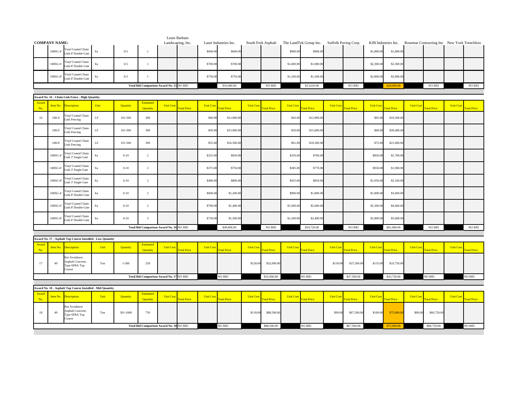|              | <b>COMPANY NAME:</b> |                                                               |           |           |                                          | Landscaping, Inc. | Louis Barbato      |                  | Laser Industries Inc. |                  | South Fork Asphalt |                  | The LandTek Group Inc. |                  | Suffolk Paving Corp. |                  | KJB Industries Inc. |                  | Rosemar Contracting Inc New York Trenchless |                  |                    |
|--------------|----------------------|---------------------------------------------------------------|-----------|-----------|------------------------------------------|-------------------|--------------------|------------------|-----------------------|------------------|--------------------|------------------|------------------------|------------------|----------------------|------------------|---------------------|------------------|---------------------------------------------|------------------|--------------------|
|              |                      | Vinyl Coated Chain                                            |           |           |                                          |                   |                    |                  |                       |                  |                    |                  |                        |                  |                      |                  |                     |                  |                                             |                  |                    |
|              | 108SG-4              | Link 8' Double Gate                                           | $\rm{E}a$ | $0 - 5$   | $\mathbf{1}$                             |                   |                    | \$600.00         | \$600.00              |                  |                    | \$900.00         | \$900.00               |                  |                      | \$1,800.00       | \$1,800.00          |                  |                                             |                  |                    |
|              | 108SG-6              | Vinyl Coated Chain<br>Link 8' Double Gate                     | $\rm{E}a$ | $0 - 5$   | $\mathbf{1}$                             |                   |                    | \$700.00         | \$700.00              |                  |                    | \$1,000.00       | \$1,000.00             |                  |                      | \$2,300.00       | \$2,300.00          |                  |                                             |                  |                    |
|              | 108SG-8'             | Vinyl Coated Chain<br>Link 8' Double Gate                     | $\rm{E}a$ | $0 - 5$   | $\mathbf{1}$                             |                   |                    | \$750.00         | \$750.00              |                  |                    | \$1,200.00       | \$1,200.00             |                  |                      | \$2,800.00       | \$2,800.00          |                  |                                             |                  |                    |
|              |                      |                                                               |           |           | Total Bid Comparison Award No. 15 NO BID |                   |                    |                  | \$10,400.00           |                  | NO BID             |                  | \$13,610.00            |                  | NO BID               |                  | \$20,000.00         |                  | NO BID                                      |                  | $\rm NO$ $\rm BID$ |
|              |                      |                                                               |           |           |                                          |                   |                    |                  |                       |                  |                    |                  |                        |                  |                      |                  |                     |                  |                                             |                  |                    |
| Award        |                      | Award No. 16 - Chain Link Fence - High Quantity               |           |           | <b>Estimated</b>                         |                   |                    |                  |                       |                  |                    |                  |                        |                  |                      |                  |                     |                  |                                             |                  |                    |
| No.          | Item No.             | <b>Description</b>                                            | Unit      | Quantity  | Quantity                                 | <b>Unit Cost</b>  | otal Price         | <b>Unit Cost</b> | otal Price            | <b>Unit Cost</b> | <b>Total Price</b> | <b>Unit Cost</b> | otal Price             | <b>Unit Cost</b> | <b>Total Price</b>   | <b>Unit Cost</b> | otal Price          | <b>Unit Cost</b> | <b>Fotal Price</b>                          | <b>Unit Cost</b> | <b>Total Price</b> |
| 16           | $108 - 4'$           | /inyl Coated Chain<br>Link Fencing                            | $\rm LF$  | 101-500   | 300                                      |                   |                    | \$40.0           | \$12,000.00           |                  |                    | \$43.00          | \$12,900.00            |                  |                      | \$65.0           | \$19,500.00         |                  |                                             |                  |                    |
|              | $108-6'$             | /inyl Coated Chain<br><b>Link Fencing</b>                     | $\rm LF$  | 101-500   | 300                                      |                   |                    | \$50.00          | \$15,000.00           |                  |                    | \$50.00          | \$15,000.00            |                  |                      | \$68.00          | \$20,400.00         |                  |                                             |                  |                    |
|              | $108-8$              | Vinyl Coated Chain<br>Link Fencing                            | $\rm LF$  | 101-500   | 300                                      |                   |                    | \$55.00          | \$16,500.00           |                  |                    | \$61.00          | \$18,300.00            |                  |                      | \$72.00          | \$21,600.00         |                  |                                             |                  |                    |
|              | 108SG-4              | Vinyl Coated Chain<br>ink 3' Single Gate                      | Ea        | $0 - 10$  | $\overline{2}$                           |                   |                    | \$325.0          | \$650.00              |                  |                    | \$350.00         | \$700.00               |                  |                      | \$850.0          | \$1,700.00          |                  |                                             |                  |                    |
|              | 108SG-6'             | Vinyl Coated Chain<br>Link 3' Single Gate                     | $\rm{E}a$ | $0 - 10$  | $\overline{2}$                           |                   |                    | \$375.00         | \$750.00              |                  |                    | \$385.00         | \$770.00               |                  |                      | \$950.00         | \$1,900.00          |                  |                                             |                  |                    |
|              | 108SG-8'             | Vinyl Coated Chain<br>Link 3' Single Gate                     | $\rm{E}a$ | $0 - 10$  | $\overline{2}$                           |                   |                    | \$400.00         | \$800.00              |                  |                    | \$425.00         | \$850.00               |                  |                      | \$1,050.00       | \$2,100.00          |                  |                                             |                  |                    |
|              | 108SG-4              | Vinyl Coated Chain<br>Link 8' Double Gate                     | $\rm{E}a$ | $0 - 10$  | $\overline{2}$                           |                   |                    | \$600.0          | \$1,200.00            |                  |                    | \$900.0          | \$1,800.00             |                  |                      | \$1,800.0        | \$3,600.00          |                  |                                             |                  |                    |
|              | 108SG-6'             | Vinyl Coated Chain<br>Link 8' Double Gate                     | $\rm{E}a$ | $0 - 10$  | $\overline{2}$                           |                   |                    | \$700.00         | \$1,400.00            |                  |                    | \$1,000.00       | \$2,000.00             |                  |                      | \$2,300.00       | \$4,600.00          |                  |                                             |                  |                    |
|              | 108SG-8'             | Vinyl Coated Chain                                            | $\rm{E}a$ | $0 - 10$  | $\overline{2}$                           |                   |                    | \$750.00         | \$1,500.00            |                  |                    | \$1,200.00       | \$2,400.00             |                  |                      | \$2,800.00       | \$5,600.00          |                  |                                             |                  |                    |
|              |                      | Link 8' Double Gate                                           |           |           | Total Bid Comparison Award No. 16 NO BID |                   |                    |                  | \$49,800.00           |                  | $\rm NO$ $\rm BID$ |                  | \$54,720.00            |                  | $\rm NO$ $\rm BID$   |                  |                     |                  | <b>NO BID</b>                               |                  | $\rm NO$ $\rm BID$ |
|              |                      |                                                               |           |           |                                          |                   |                    |                  |                       |                  |                    |                  |                        |                  |                      |                  | \$81,000.00         |                  |                                             |                  |                    |
|              |                      | Award No. 17 - Asphalt Top Course Installed - Low Quantity    |           |           |                                          |                   |                    |                  |                       |                  |                    |                  |                        |                  |                      |                  |                     |                  |                                             |                  |                    |
| Award<br>No. | Item No.             | <b>Description</b>                                            | Unit      | Quantity  | <b>Estimated</b><br>Quantity             | <b>Unit Cost</b>  | <b>Total Price</b> | <b>Unit Cost</b> | <b>Total Price</b>    | <b>Unit Cos</b>  | <b>Total Price</b> | <b>Unit Cost</b> | <b>Total Price</b>     | <b>Unit Cost</b> | otal Price           | <b>Unit Cost</b> | <b>Fotal Price</b>  | <b>Unit Cost</b> | <b>Total Price</b>                          | <b>Unit Cost</b> | <b>Total Price</b> |
| 17           | 49                   | Rut Avoidance<br>Asphalt Concrete,<br>Type 6FRA Top<br>Course | Ton       | $1 - 500$ | 250                                      |                   |                    |                  |                       | \$128.00         | \$32,000.00        |                  |                        | \$150.00         | \$37,500.00          | \$135.00         | \$33,750.00         |                  |                                             |                  |                    |
|              |                      |                                                               |           |           | Total Bid Comparison Award No. 17 NO BID |                   |                    |                  | $NO$ $\rm BID$        |                  | \$32,000.00        |                  | NO BID                 |                  | \$37,500.00          |                  | \$33,750.00         |                  | NO BID                                      |                  | NO BID             |
|              |                      | Award No. 18 - Asphalt Top Course Installed - Mid Quantity    |           |           |                                          |                   |                    |                  |                       |                  |                    |                  |                        |                  |                      |                  |                     |                  |                                             |                  |                    |
| Award        |                      |                                                               |           |           | <b>Estimated</b>                         |                   |                    |                  |                       |                  |                    |                  |                        |                  |                      |                  |                     |                  |                                             |                  |                    |
| No.          | Item No.             | <b>Description</b>                                            | Unit      | Quantity  | Quantity                                 | <b>Unit Cost</b>  | otal Price         | <b>Unit Cost</b> | <b>Total Price</b>    | <b>Unit Cost</b> | <b>Total Price</b> | <b>Unit Cost</b> | <b>Total Price</b>     | <b>Unit Cost</b> | otal Price           | <b>Unit Cost</b> | <b>otal Price</b>   | <b>Unit Cost</b> | <b>otal Price</b>                           | <b>Unit Cost</b> | <b>Total Price</b> |
| $18\,$       | 49                   | Rut Avoidance<br>Asphalt Concrete.<br>Type 6FRA Top<br>Course | Ton       | 501-1000  | 750                                      |                   |                    |                  |                       | \$118.00         | \$88,500.00        |                  |                        | \$90.00          | \$67,500.00          | \$100.00         | \$75,000.00         | \$89.00          | \$66,750.00                                 |                  |                    |
|              |                      |                                                               |           |           | Total Bid Comparison Award No. 18 NO BID |                   |                    |                  | NO BID                |                  | \$88,500.00        |                  | NO BID                 |                  | \$67,500.00          |                  | \$75,000.00         |                  | \$66,750.00                                 |                  | <b>NO BID</b>      |
|              |                      |                                                               |           |           |                                          |                   |                    |                  |                       |                  |                    |                  |                        |                  |                      |                  |                     |                  |                                             |                  |                    |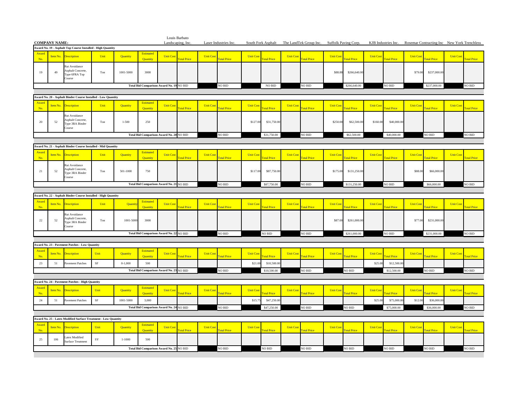| <b>COMPANY NAME:</b> |          |                                                                 |             |            |                       | Louis Barbato<br>Landscaping, Inc.       |                    |                  | Laser Industries Inc. |                  |                    |                  | South Fork Asphalt The LandTek Group Inc. | Suffolk Paving Corp. |              |                 | KJB Industries Inc. |                  | Rosemar Contracting Inc New York Trenchless |                  |                    |
|----------------------|----------|-----------------------------------------------------------------|-------------|------------|-----------------------|------------------------------------------|--------------------|------------------|-----------------------|------------------|--------------------|------------------|-------------------------------------------|----------------------|--------------|-----------------|---------------------|------------------|---------------------------------------------|------------------|--------------------|
|                      |          | Award No. 19 - Asphalt Top Course Installed - High Quantity     |             |            |                       |                                          |                    |                  |                       |                  |                    |                  |                                           |                      |              |                 |                     |                  |                                             |                  |                    |
| Award<br>No.         | Item No. | <b>Description</b>                                              | Unit        | Quantity   | Estimated<br>Quantity | <b>Unit Cos</b>                          | <b>Fotal Price</b> | <b>Unit Cost</b> | <b>Total Price</b>    | <b>Unit Cost</b> | <b>Total Price</b> | <b>Unit Cost</b> | <b>Total Price</b>                        | <b>Unit Cost</b>     | otal Price   | <b>Unit Cos</b> | <b>Total Price</b>  | <b>Unit Cost</b> | <b>Total Price</b>                          | <b>Unit Cost</b> | otal Price         |
| 19                   | 49       | Rut Avoidance<br>Asphalt Concrete,<br>Type 6FRA Top<br>Course   | Ton         | 1001-5000  | 3000                  |                                          |                    |                  |                       |                  |                    |                  |                                           | \$88.88              | \$266,640.00 |                 |                     | \$79.00          | \$237,000.0                                 |                  |                    |
|                      |          |                                                                 |             |            |                       | Total Bid Comparison Award No. 19 NO BID |                    |                  | NO BID                |                  | NO BID             |                  | NO BID                                    |                      | \$266,640.00 |                 | NO BID              |                  | \$237,000.00                                |                  | NO BID             |
|                      |          | Award No. 20 - Asphalt Binder Course Installed - Low Quantity   |             |            |                       |                                          |                    |                  |                       |                  |                    |                  |                                           |                      |              |                 |                     |                  |                                             |                  |                    |
| Award                |          |                                                                 |             |            | Estimated             |                                          |                    |                  |                       |                  |                    |                  |                                           |                      |              |                 |                     |                  |                                             |                  |                    |
| No.                  | Item No. | <b>Description</b>                                              | Unit        | Quantity   | Ouantity              | <b>Unit Cos</b>                          | <b>Total Price</b> | <b>Unit Cost</b> | otal Price            | <b>Unit Cos</b>  | <b>otal Price</b>  | <b>Unit Cost</b> | <b>Total Price</b>                        | <b>Unit Cost</b>     | otal Price   | <b>Unit Co</b>  | <b>Total Price</b>  | <b>Unit Cost</b> | <b>Total Price</b>                          | <b>Unit Cost</b> | <b>Total Price</b> |
| 20                   | 52       | Rut Avoidance<br>Asphalt Concrete,<br>Type 3RA Binder<br>Course | Ton         | $1 - 500$  | 250                   |                                          |                    |                  |                       | \$127.00         | \$31,750.00        |                  |                                           | \$250.00             | \$62,500.00  | \$160.00        | \$40,000.0          |                  |                                             |                  |                    |
|                      |          |                                                                 |             |            |                       | Total Bid Comparison Award No. 20 NO BID |                    |                  | NO BID                |                  | \$31,750.00        |                  | NO BID                                    |                      | \$62,500.00  |                 | \$40,000.00         |                  | $NO$ $\rm BID$                              |                  | NO BID             |
|                      |          | Award No. 21 - Asphalt Binder Course Installed - Mid Quantity   |             |            |                       |                                          |                    |                  |                       |                  |                    |                  |                                           |                      |              |                 |                     |                  |                                             |                  |                    |
| Award                |          |                                                                 |             |            | Estimated             |                                          |                    |                  |                       |                  |                    |                  |                                           |                      |              |                 |                     |                  |                                             |                  |                    |
| No.                  | Item No. | <b>Description</b>                                              | Unit        | Quantity   | Quantity              | <b>Unit Cos</b>                          | <b>Fotal Price</b> | <b>Unit Cost</b> | otal Price            | <b>Unit Cos</b>  | <b>otal Price</b>  | <b>Unit Cost</b> | <b>Total Price</b>                        | <b>Unit Cost</b>     | otal Price   | <b>Unit Cos</b> | <b>Total Price</b>  | <b>Unit Cost</b> | <b>Total Price</b>                          | <b>Unit Cost</b> | otal Price         |
| $21\,$               | 52       | Rut Avoidance<br>Asphalt Concrete,<br>Type 3RA Binder<br>Course | Ton         | 501-1000   | 750                   |                                          |                    |                  |                       | \$117.00         | \$87,750.00        |                  |                                           | \$175.00             | \$131,250.00 |                 |                     | \$88.00          | \$66,000.0                                  |                  |                    |
|                      |          |                                                                 |             |            |                       | Total Bid Comparison Award No. 21 NO BID |                    |                  | NO BID                |                  | \$87,750.00        |                  | NO BID                                    |                      | \$131,250.00 |                 | NO BID              |                  | \$66,000.00                                 |                  | NO BID             |
|                      |          |                                                                 |             |            |                       |                                          |                    |                  |                       |                  |                    |                  |                                           |                      |              |                 |                     |                  |                                             |                  |                    |
| Award                |          | Award No. 22 - Asphalt Binder Course Installed - High Quantity  |             |            | Estimated             |                                          |                    |                  |                       |                  |                    |                  |                                           |                      |              |                 |                     |                  |                                             |                  |                    |
| No.                  | Item No. | <b>Description</b>                                              | Unit        | Quanti     | <b>Ouantity</b>       | <b>Unit Cos</b>                          | <b>Total Price</b> | <b>Unit Cos</b>  | otal Price            | <b>Unit Cos</b>  | <b>otal Price</b>  | <b>Unit Cost</b> | <b>Total Price</b>                        | <b>Unit Cost</b>     | otal Price   | <b>Unit Cos</b> | <b>Total Price</b>  | <b>Unit Cos</b>  | <b>Total Price</b>                          | <b>Unit Cost</b> | otal Price         |
| $22\,$               | 52       | Rut Avoidance<br>Asphalt Concrete,<br>Type 3RA Binder<br>Course | Ton         | 1001-500   | 3000                  |                                          |                    |                  |                       |                  |                    |                  |                                           | \$87.00              | \$261,000.00 |                 |                     | \$77.00          | \$231,000.00                                |                  |                    |
|                      |          |                                                                 |             |            |                       | Total Bid Comparison Award No. 22 NO BID |                    |                  | NO BID                |                  | NO BID             |                  | NO BID                                    |                      | \$261,000.00 |                 | NO BID              |                  | \$231,000.00                                |                  | NO BID             |
|                      |          |                                                                 |             |            |                       |                                          |                    |                  |                       |                  |                    |                  |                                           |                      |              |                 |                     |                  |                                             |                  |                    |
| Award                |          | Award No. 23 - Pavement Patches - Low Quantity                  |             |            | <b>Estimated</b>      |                                          |                    |                  |                       |                  |                    |                  |                                           |                      |              |                 |                     |                  |                                             |                  |                    |
| No.                  | Item No. | escription                                                      | Unit        | Quantity   | Ouantity              | <b>Unit Cos</b>                          | <b>Fotal Price</b> | <b>Unit Cost</b> | otal Price            | <b>Unit Cos</b>  | <b>otal Price</b>  | <b>Unit Cost</b> | <b>Total Price</b>                        | <b>Unit Cost</b>     | otal Price   | <b>Unit Cos</b> | <b>otal Price</b>   | <b>Unit Cost</b> | <b>Fotal Price</b>                          | <b>Unit Cost</b> | <b>otal Price</b>  |
| 23                   | 51       | Pavement Patches                                                | $\rm SF$    | $0-1,000$  | 500                   |                                          |                    |                  |                       | \$21.00          | \$10,500.00        |                  |                                           |                      |              | \$25.00         | \$12,500.0          |                  |                                             |                  |                    |
|                      |          |                                                                 |             |            |                       | Total Bid Comparison Award No. 23 NO BID |                    |                  | NO BID                |                  | \$10,500.00        |                  | NO BID                                    |                      | NO BID       |                 | \$12,500.00         |                  | $\rm NO$ $\rm BID$                          |                  | NO BID             |
|                      |          | Award No. 24 - Pavement Patches - High Quantity                 |             |            |                       |                                          |                    |                  |                       |                  |                    |                  |                                           |                      |              |                 |                     |                  |                                             |                  |                    |
| Award                | Item No. |                                                                 | Unit        | Quantity   | Estimated             | <b>Unit Cost</b>                         |                    |                  |                       | <b>Unit Cost</b> |                    | <b>Unit Cost</b> |                                           | <b>Unit Cost</b>     |              | <b>Unit Cos</b> |                     | <b>Unit Cost</b> |                                             | <b>Unit Cost</b> |                    |
| No.                  |          | bescription                                                     |             |            | Quantity              |                                          | <b>Total Price</b> | <b>Unit Cost</b> | <b>Total Price</b>    |                  | otal Price         |                  | <b>Total Price</b>                        |                      | otal Price   |                 | otal Price          |                  | otal Price                                  |                  | otal Price         |
| $24\,$               | 51       | Pavement Patches                                                | $\rm{SF}$   | 1001-5000  | 3,000                 |                                          |                    |                  |                       | \$15.7           | \$47,250.00        |                  |                                           |                      |              | \$25.00         | \$75,000.0          | \$12.00          | \$36,000.0                                  |                  |                    |
|                      |          |                                                                 |             |            |                       | Total Bid Comparison Award No. 24 NO BID |                    |                  | NO BID                |                  | \$47,250.00        |                  | NO BID                                    |                      | NO BID       |                 | \$75,000.00         |                  | \$36,000.00                                 |                  | NO BID             |
|                      |          | Award No. 25 - Latex Modified Surface Treatment - Low Quantity  |             |            |                       |                                          |                    |                  |                       |                  |                    |                  |                                           |                      |              |                 |                     |                  |                                             |                  |                    |
| Award<br>No.         | Item No. | escription                                                      | Unit        | Quantity   | Estimated<br>Quantity | <b>Unit Cos</b>                          | <b>Total Price</b> | <b>Unit Cost</b> | otal Price            | <b>Unit Cos</b>  | <b>otal Price</b>  | <b>Unit Cost</b> | otal Price                                | <b>Unit Cost</b>     | otal Price   | <b>Unit Cos</b> | <b>otal Price</b>   | <b>Unit Cost</b> | otal Price                                  | <b>Unit Cost</b> | otal Price         |
| 25                   | 106      | Latex Modified                                                  | $_{\rm SY}$ | $1 - 1000$ | 500                   |                                          |                    |                  |                       |                  |                    |                  |                                           |                      |              |                 |                     |                  |                                             |                  |                    |
|                      |          | <b>Surface Treatment</b>                                        |             |            |                       |                                          |                    |                  |                       |                  |                    |                  |                                           |                      |              |                 |                     |                  |                                             |                  |                    |
|                      |          |                                                                 |             |            |                       | Total Bid Comparison Award No. 25 NO BID |                    |                  | NO BID                |                  | NO BID             |                  | NO BID                                    |                      | NO BID       |                 | NO BID              |                  | NO BID                                      |                  | NO BID             |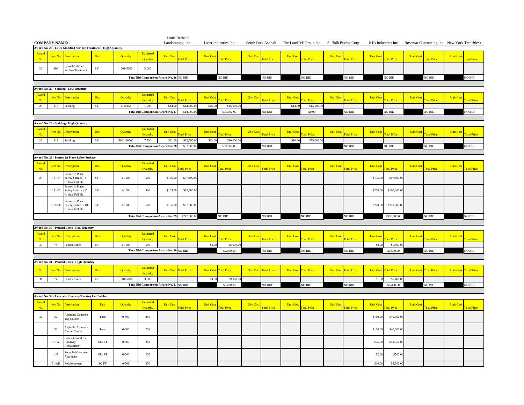|                                                                          | <b>COMPANY NAME:</b> |                                                            |                       |            |                                          |                              | Louis Barbato<br>Landscaping, Inc. |                  | Laser Industries Inc.        |                  |                    |                  | South Fork Asphalt The LandTek Group Inc. Suffolk Paving Corp. |                  |                    |                  | KJB Industries Inc. Rosemar Contracting Inc New York Trenchless |                  |                    |                  |                    |
|--------------------------------------------------------------------------|----------------------|------------------------------------------------------------|-----------------------|------------|------------------------------------------|------------------------------|------------------------------------|------------------|------------------------------|------------------|--------------------|------------------|----------------------------------------------------------------|------------------|--------------------|------------------|-----------------------------------------------------------------|------------------|--------------------|------------------|--------------------|
| Award No. 26 - Latex Modified Surface Treatment - High Quantity<br>Award |                      |                                                            |                       |            |                                          |                              |                                    |                  |                              |                  |                    |                  |                                                                |                  |                    |                  |                                                                 |                  |                    |                  |                    |
| No.                                                                      | Item No.             | <b>Description</b>                                         | Unit                  | Quantity   | Estimated<br><b>Ouantity</b>             | <b>Unit Cos</b>              | <b>Total Price</b>                 | <b>Unit Cost</b> | <b>Total Price</b>           | <b>Unit Cost</b> | <b>Total Price</b> | <b>Unit Cost</b> | <b>Total Price</b>                                             | <b>Unit Cost</b> | <b>Total Price</b> | <b>Unit Cost</b> | <b>Total Price</b>                                              | <b>Unit Cost</b> | <b>otal Price</b>  | <b>Unit Cost</b> | <b>Total Price</b> |
| $26\,$                                                                   | 106                  | atex Modified<br><b>Surface Treatment</b>                  | $_{\rm SY}$           | 1001-5000  | 3,000                                    |                              |                                    |                  |                              |                  |                    |                  |                                                                |                  |                    |                  |                                                                 |                  |                    |                  |                    |
|                                                                          |                      |                                                            |                       |            | Total Bid Comparison Award No. 26 NO BID |                              |                                    |                  | NO BID                       |                  | NO BID             |                  | NO BID                                                         |                  | NO BID             |                  | NO BID                                                          |                  | NO BID             |                  | NO BID             |
|                                                                          |                      |                                                            |                       |            |                                          |                              |                                    |                  |                              |                  |                    |                  |                                                                |                  |                    |                  |                                                                 |                  |                    |                  |                    |
|                                                                          |                      | Award No. 27 - Sodding - Low Quantity                      |                       |            |                                          |                              |                                    |                  |                              |                  |                    |                  |                                                                |                  |                    |                  |                                                                 |                  |                    |                  |                    |
| Award<br>No.                                                             | Item No.             | <b>Description</b>                                         | Unit                  | Quantity   | Estimated<br>Quantity                    | <b>Unit Cos</b>              | <b>otal Price</b>                  | <b>Unit Cost</b> | otal Price                   | <b>Unit Cos</b>  | <b>Fotal Price</b> | <b>Unit Cost</b> | otal Price                                                     | <b>Unit Cos</b>  | <b>Total Price</b> | <b>Unit Cost</b> | <b>Total Price</b>                                              | <b>Unit Cos</b>  | <b>Fotal Price</b> | <b>Unit Cost</b> | <b>Fotal Price</b> |
| 27                                                                       | 113                  | Sodding                                                    | $_{\rm SY}$           | 1132254    | 1,000                                    | \$14.00                      | \$14,000.0                         | \$15.00          | \$15,000.0                   |                  |                    | \$14.0           | \$14,000.00                                                    |                  |                    |                  |                                                                 |                  |                    |                  |                    |
|                                                                          |                      |                                                            |                       |            | <b>Total Bid Comparison Award No. 27</b> |                              | \$14,000.00                        |                  | \$15,000.00                  |                  | NO BID             |                  | \$0.00                                                         |                  | NO BID             |                  | NO BID                                                          |                  | NO BID             |                  | NO BID             |
|                                                                          |                      |                                                            |                       |            |                                          |                              |                                    |                  |                              |                  |                    |                  |                                                                |                  |                    |                  |                                                                 |                  |                    |                  |                    |
|                                                                          |                      | Award No. 28 - Sodding - High Quantity                     |                       |            |                                          |                              |                                    |                  |                              |                  |                    |                  |                                                                |                  |                    |                  |                                                                 |                  |                    |                  |                    |
| Award                                                                    | Item No.             |                                                            | Unit                  | Quantity   | Estimated                                | <b>Unit Cost</b>             |                                    | <b>Unit Cost</b> |                              | <b>Unit Cost</b> |                    | <b>Unit Cost</b> |                                                                | <b>Unit Cost</b> |                    | <b>Unit Cost</b> |                                                                 | <b>Unit Cost</b> |                    | <b>Unit Cost</b> |                    |
| No.                                                                      |                      | <b>Description</b>                                         |                       |            | Quantity                                 |                              | otal Price                         |                  | <b>otal Price</b>            |                  | otal Price         |                  | otal Price                                                     |                  | <b>otal Price</b>  |                  | <b>Total Price</b>                                              |                  | <b>Total Price</b> |                  | <b>Total Price</b> |
| $\sqrt{28}$                                                              | 113                  | Sodding                                                    | SY                    | 5001-10000 | 7,500                                    | \$11.00                      | \$82,500.00                        | \$12.00          | \$90,000.00                  |                  |                    | \$10.00          | \$75,000.00                                                    |                  |                    |                  |                                                                 |                  |                    |                  |                    |
|                                                                          |                      |                                                            |                       |            | <b>Total Bid Comparison Award No. 28</b> |                              | \$82,500.00                        |                  | \$90,000,00                  |                  | NO BID             |                  |                                                                |                  | <b>NO BID</b>      |                  | NO BID                                                          |                  | NO BID             |                  | NO BID             |
|                                                                          |                      |                                                            |                       |            |                                          |                              |                                    |                  |                              |                  |                    |                  |                                                                |                  |                    |                  |                                                                 |                  |                    |                  |                    |
|                                                                          |                      | Award No. 29 - Poured In Place Safety Surface              |                       |            |                                          |                              |                                    |                  |                              |                  |                    |                  |                                                                |                  |                    |                  |                                                                 |                  |                    |                  |                    |
| Award<br>No.                                                             | Item No.             | <b>Description</b>                                         | Unit                  | Quantity   | Estimated<br>Quantity                    | <b>Unit Cos</b>              | otal Price                         | <b>Unit Cost</b> | <b>otal Price</b>            | <b>Unit Cost</b> | otal Price         | <b>Unit Cost</b> | otal Price                                                     | <b>Unit Cost</b> | otal Price         | <b>Unit Cost</b> | otal Price                                                      | <b>Unit Cos</b>  | <b>otal Price</b>  | <b>Unit Cost</b> | otal Price         |
| 29                                                                       | $151 - 6'$           | Poured in Place<br>Safety Surface - 6'<br>ritical Fall Ht. | SY                    | $1 - 1000$ | 500                                      | \$155.00                     | \$77,500.00                        |                  |                              |                  |                    |                  |                                                                |                  |                    | \$195.00         | \$97,500.00                                                     |                  |                    |                  |                    |
|                                                                          |                      | Poured in Place                                            |                       |            |                                          |                              |                                    |                  |                              |                  |                    |                  |                                                                |                  |                    |                  |                                                                 |                  |                    |                  |                    |
|                                                                          | $151 - 8'$           | Safety Surface - 8'<br>Critical Fall Ht.                   | SY                    | $1 - 1000$ | 500                                      | \$165.00                     | \$82,500.00                        |                  |                              |                  |                    |                  |                                                                |                  |                    | \$200.00         | \$100,000.00                                                    |                  |                    |                  |                    |
|                                                                          |                      |                                                            |                       |            |                                          |                              |                                    |                  |                              |                  |                    |                  |                                                                |                  |                    |                  |                                                                 |                  |                    |                  |                    |
|                                                                          | $151 - 10'$          | Poured in Place<br>Safety Surface - 10'                    | $_{\rm SY}$           | $1 - 1000$ | 500                                      | \$175.00                     | \$87,500.00                        |                  |                              |                  |                    |                  |                                                                |                  |                    | \$220.00         | \$110,000.00                                                    |                  |                    |                  |                    |
|                                                                          |                      | Critical Fall Ht.                                          |                       |            |                                          |                              |                                    |                  |                              |                  |                    |                  |                                                                |                  |                    |                  |                                                                 |                  |                    |                  |                    |
|                                                                          |                      |                                                            |                       |            | <b>Total Bid Comparison Award No. 29</b> |                              | \$247,500.00                       |                  | NO BID                       |                  | NO BID             |                  | NO BID                                                         |                  | <b>NO BID</b>      |                  | \$307,500.00                                                    |                  | NO BID             |                  | NO BID             |
|                                                                          |                      |                                                            |                       |            |                                          |                              |                                    |                  |                              |                  |                    |                  |                                                                |                  |                    |                  |                                                                 |                  |                    |                  |                    |
|                                                                          |                      | Award No. 30 - Painted Lines - Low Quantity                |                       |            |                                          |                              |                                    |                  |                              |                  |                    |                  |                                                                |                  |                    |                  |                                                                 |                  |                    |                  |                    |
| Award<br>No.                                                             | Item No.             | <b>Description</b>                                         | Unit                  | Quantity   | <b>Estimated</b><br>Quantity             | <b>Unit Cos</b>              | otal Price                         | <b>Unit Cost</b> | <b>otal Price</b>            | <b>Unit Cost</b> | otal Price         | <b>Unit Cost</b> | <b>otal Price</b>                                              | <b>Unit Cost</b> | otal Price         | <b>Unit Cost</b> | otal Price                                                      | <b>Unit Cos</b>  | <b>otal Price</b>  | <b>Unit Cost</b> | <b>otal Price</b>  |
| $30\,$                                                                   | 74                   | <b>Painted Lines</b>                                       | $\rm LF$              | $1 - 1000$ | 500                                      |                              |                                    | \$4.00           | \$2,000.00                   |                  |                    |                  |                                                                |                  |                    | \$3.00           | \$1,500.00                                                      |                  |                    |                  |                    |
|                                                                          |                      |                                                            |                       |            | Total Bid Comparison Award No. 30 NO BID |                              |                                    |                  | \$2,000.00                   |                  | NO BID             |                  | NO BID                                                         |                  | NO BID             |                  | \$1,500.00                                                      |                  | NO BID             |                  | NO BID             |
|                                                                          |                      |                                                            |                       |            |                                          |                              |                                    |                  |                              |                  |                    |                  |                                                                |                  |                    |                  |                                                                 |                  |                    |                  |                    |
|                                                                          |                      | Award No. 31 - Painted Lines - High Quantity               |                       |            |                                          |                              |                                    |                  |                              |                  |                    |                  |                                                                |                  |                    |                  |                                                                 |                  |                    |                  |                    |
| No.                                                                      | Item No.             | <b>Description</b>                                         | Unit                  | Quantity   | Estimated<br>Quantity                    | <b>Unit Cost</b> Total Price |                                    |                  | <b>Unit Cost</b> Total Price | <b>Unit Cost</b> | <b>Total Price</b> | <b>Unit Cost</b> | <b>Total Price</b>                                             | <b>Unit Cost</b> | <b>Total Price</b> |                  | <b>Unit Cost</b> Total Price                                    | <b>Unit Cost</b> | <b>Total Price</b> | <b>Unit Cost</b> | <b>Total Price</b> |
| $31\,$                                                                   | 74                   | <b>Painted Lines</b>                                       | $\rm LF$              | 1001-5000  | 3,000                                    |                              |                                    | \$3.00           | \$9,000.00                   |                  |                    |                  |                                                                |                  |                    | \$1.80           | \$5,400.0                                                       |                  |                    |                  |                    |
|                                                                          |                      |                                                            |                       |            | Total Bid Comparison Award No. 31 NO BID |                              |                                    |                  | \$9,000.00                   |                  | NO BID             |                  | NO BID                                                         |                  | NO BID             |                  | \$5,400.00                                                      |                  | NO BID             |                  | NO BID             |
|                                                                          |                      |                                                            |                       |            |                                          |                              |                                    |                  |                              |                  |                    |                  |                                                                |                  |                    |                  |                                                                 |                  |                    |                  |                    |
|                                                                          |                      | Award No. 32 - Concrete Roadway/Parking Lot Patches        |                       |            |                                          |                              |                                    |                  |                              |                  |                    |                  |                                                                |                  |                    |                  |                                                                 |                  |                    |                  |                    |
| Award<br>No.                                                             | Item No.             | <b>Description</b>                                         | Unit                  | Quantity   | Estimated<br>Quantity                    | <b>Unit Cos</b>              | <b>Total Price</b>                 | <b>Unit Cost</b> | <b>Total Price</b>           | <b>Unit Cos</b>  | <b>otal Price</b>  | <b>Unit Cost</b> | <b>Total Price</b>                                             | <b>Unit Cos</b>  | <b>otal Price</b>  | <b>Unit Cos</b>  | <b>otal Price</b>                                               | <b>Unit Cost</b> | <b>otal Price</b>  | <b>Unit Cost</b> | <b>Total Price</b> |
| 32                                                                       | 50                   | Asphaltic Concrete<br>Top Course                           | Tons                  | $0 - 500$  | 250                                      |                              |                                    |                  |                              |                  |                    |                  |                                                                |                  |                    | \$160.00         | \$40,000.0                                                      |                  |                    |                  |                    |
|                                                                          | 52                   | <b>Asphaltic Concrete</b><br><b>Binder Course</b>          | Tons                  | $0 - 500$  | 250                                      |                              |                                    |                  |                              |                  |                    |                  |                                                                |                  |                    | \$160.00         | \$40,000.00                                                     |                  |                    |                  |                    |
|                                                                          |                      | Concrete used for                                          |                       |            |                                          |                              |                                    |                  |                              |                  |                    |                  |                                                                |                  |                    |                  |                                                                 |                  |                    |                  |                    |
|                                                                          | $51-A$               | Roadway<br>Replacement                                     | ${\rm C} {\rm U}.$ FT | $0 - 500$  | 250                                      |                              |                                    |                  |                              |                  |                    |                  |                                                                |                  |                    | \$75.00          | \$18,750.00                                                     |                  |                    |                  |                    |
|                                                                          |                      |                                                            |                       |            |                                          |                              |                                    |                  |                              |                  |                    |                  |                                                                |                  |                    |                  |                                                                 |                  |                    |                  |                    |
|                                                                          | $4-P$                | Recycled Concrete<br>Aggregate                             | CU. FT                | $0 - 500$  | 250                                      |                              |                                    |                  |                              |                  |                    |                  |                                                                |                  |                    | \$2.00           | \$500.00                                                        |                  |                    |                  |                    |
|                                                                          |                      | 51-AR Reinforcement                                        | SQ FT                 | $0 - 500$  | 250                                      |                              |                                    |                  |                              |                  |                    |                  |                                                                |                  |                    | \$10.00          | \$2,500.00                                                      |                  |                    |                  |                    |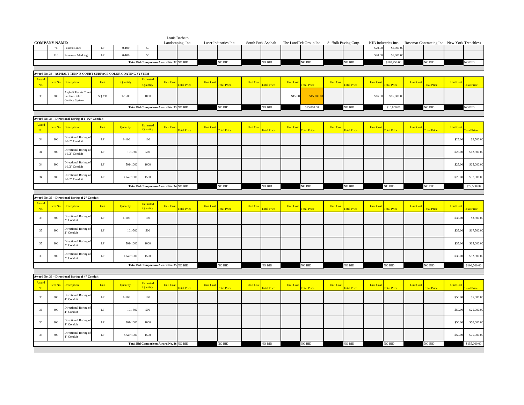|              |                            |                                                                  |          |                  |                                          |                  | Louis Barbato      |                 |                       |                  |                    |                  |                        |                  |                      |                  |                                  |                  |                                             |                  |                   |
|--------------|----------------------------|------------------------------------------------------------------|----------|------------------|------------------------------------------|------------------|--------------------|-----------------|-----------------------|------------------|--------------------|------------------|------------------------|------------------|----------------------|------------------|----------------------------------|------------------|---------------------------------------------|------------------|-------------------|
|              | <b>COMPANY NAME:</b><br>74 | Painted Lines                                                    | $\rm LF$ | $0 - 100$        | 50                                       |                  | Landscaping, Inc.  |                 | Laser Industries Inc. |                  | South Fork Asphalt |                  | The LandTek Group Inc. |                  | Suffolk Paving Corp. | \$20.00          | KJB Industries Inc.<br>\$1,000.0 |                  | Rosemar Contracting Inc New York Trenchless |                  |                   |
|              | 116                        | avement Marking                                                  | LF       | $0 - 100$        | 50                                       |                  |                    |                 |                       |                  |                    |                  |                        |                  |                      | \$20.00          | \$1,000.0                        |                  |                                             |                  |                   |
|              |                            |                                                                  |          |                  | Total Bid Comparison Award No. 32 NO BID |                  |                    |                 | NO BID                |                  | NO BID             |                  | NO BID                 |                  | $NO$ $\rm BID$       |                  | \$103,750.00                     |                  | NO BID                                      |                  | NO BID            |
|              |                            |                                                                  |          |                  |                                          |                  |                    |                 |                       |                  |                    |                  |                        |                  |                      |                  |                                  |                  |                                             |                  |                   |
|              |                            | Award No. 33 - ASPHALT TENNIS COURT SURFACE COLOR COATING SYSTEM |          |                  |                                          |                  |                    |                 |                       |                  |                    |                  |                        |                  |                      |                  |                                  |                  |                                             |                  |                   |
| Award<br>No. | Item No.                   | bescription                                                      | Unit     | Quantity         | <b>Estimated</b><br>Quantity             | <b>Unit Cost</b> | <b>Total Price</b> | <b>Unit Cos</b> | <b>otal Price</b>     | <b>Unit Cost</b> | <b>Total Price</b> | <b>Unit Cost</b> | otal Price             | <b>Unit Cost</b> | otal Price           | <b>Unit Cost</b> | otal Price                       | <b>Unit Cost</b> | otal Price                                  | <b>Unit Cost</b> | <b>otal Price</b> |
| 33           | 200                        | <b>Asphalt Tennis Cour</b><br>Surface Color<br>Coating System    | SQ YD    | $1 - 1500$       | 1000                                     |                  |                    |                 |                       |                  |                    | \$15.00          | \$15,000.00            |                  |                      | \$16.80          | \$16,800.00                      |                  |                                             |                  |                   |
|              |                            |                                                                  |          |                  | Total Bid Comparison Award No. 33 NO BID |                  |                    |                 | NO BID                |                  | NO BID             |                  | \$15,000.00            |                  | NO BID               |                  | \$16,800.00                      |                  | NO BID                                      |                  | NO BID            |
|              |                            |                                                                  |          |                  |                                          |                  |                    |                 |                       |                  |                    |                  |                        |                  |                      |                  |                                  |                  |                                             |                  |                   |
|              |                            | Award No. 34 - Directional Boring of 1-1/2" Conduit              |          |                  |                                          |                  |                    |                 |                       |                  |                    |                  |                        |                  |                      |                  |                                  |                  |                                             |                  |                   |
| Award<br>No. | Item No.                   | bescription                                                      | Unit     | Quantity         | Estimated<br>Quantity                    | <b>Unit Cos</b>  | <b>otal Price</b>  | <b>Unit Cos</b> | <b>otal Price</b>     | <b>Unit Cos</b>  | otal Price         | <b>Unit Cos</b>  | <b>Total Price</b>     | <b>Unit Cost</b> | otal Price           | <b>Unit Cos</b>  | otal Price                       | <b>Unit Cos</b>  | otal Price                                  | <b>Unit Cost</b> | otal Price        |
| 34           | 300                        | Directional Boring o<br>-1/2" Conduit                            | $\rm LF$ | $1 - 100$        | 100                                      |                  |                    |                 |                       |                  |                    |                  |                        |                  |                      |                  |                                  |                  |                                             | \$25.00          | \$2,500.00        |
| 34           | 300                        | Directional Boring<br>1-1/2" Conduit                             | $\rm LF$ | 101-500          | 500                                      |                  |                    |                 |                       |                  |                    |                  |                        |                  |                      |                  |                                  |                  |                                             | \$25.00          | \$12,500.00       |
| 34           | 300                        | Directional Boring o<br>1-1/2" Conduit                           | $\rm LF$ | 501-1000         | $1000\,$                                 |                  |                    |                 |                       |                  |                    |                  |                        |                  |                      |                  |                                  |                  |                                             | \$25.00          | \$25,000.00       |
| 34           | 300                        | Directional Boring o<br>-1/2" Conduit                            | $\rm LF$ | Over 1000        | 1500                                     |                  |                    |                 |                       |                  |                    |                  |                        |                  |                      |                  |                                  |                  |                                             | \$25.00          | \$37,500.00       |
|              |                            |                                                                  |          |                  | Total Bid Comparison Award No. 34 NO BID |                  |                    |                 | NO BID                |                  | NO BID             |                  | NO BID                 |                  | NO BID               |                  | NO BID                           |                  | NO BID                                      |                  | \$77,500.00       |
|              |                            |                                                                  |          |                  |                                          |                  |                    |                 |                       |                  |                    |                  |                        |                  |                      |                  |                                  |                  |                                             |                  |                   |
|              |                            |                                                                  |          |                  |                                          |                  |                    |                 |                       |                  |                    |                  |                        |                  |                      |                  |                                  |                  |                                             |                  |                   |
|              |                            | Award No. 35 - Directional Boring of 2" Conduit                  |          |                  |                                          |                  |                    |                 |                       |                  |                    |                  |                        |                  |                      |                  |                                  |                  |                                             |                  |                   |
| Award<br>No. | <b>Item No.</b>            | <b>Description</b>                                               | Unit     | Quantity         | Estimated<br>Quantity                    | <b>Unit Cost</b> | <b>Fotal Price</b> | <b>Unit Cos</b> | <b>Total Price</b>    | <b>Unit Cost</b> | <b>Fotal Price</b> | <b>Unit Cost</b> | <b>Total Price</b>     | <b>Unit Cost</b> | otal Price           | <b>Unit Cos</b>  | <b>Total Price</b>               | <b>Unit Cos</b>  | <b>cotal Price</b>                          | <b>Unit Cost</b> | otal Price        |
| 35           | 300                        | Directional Boring o<br>" Conduit                                | $\rm LF$ | $1 - 100$        | 100                                      |                  |                    |                 |                       |                  |                    |                  |                        |                  |                      |                  |                                  |                  |                                             | \$35.0           | \$3,500.00        |
| 35           | 300                        | Directional Boring o<br>" Conduit                                | $\rm LF$ | 101-500          | 500                                      |                  |                    |                 |                       |                  |                    |                  |                        |                  |                      |                  |                                  |                  |                                             | \$35.0           | \$17,500.00       |
| 35           | 300                        | Directional Boring o<br>" Conduit                                | $\rm LF$ | 501-1000         | 1000                                     |                  |                    |                 |                       |                  |                    |                  |                        |                  |                      |                  |                                  |                  |                                             | \$35.0           | \$35,000.00       |
| 35           | 300                        | Directional Boring o<br>" Conduit                                | $\rm LF$ | Over 100         | 1500                                     |                  |                    |                 |                       |                  |                    |                  |                        |                  |                      |                  |                                  |                  |                                             | \$35.0           | \$52,500.00       |
|              |                            |                                                                  |          |                  | Total Bid Comparison Award No. 35 NO BID |                  |                    |                 | NO BID                |                  | NO BID             |                  | NO BID                 |                  | NO BID               |                  | NO BID                           |                  | NO BID                                      |                  | \$108,500.00      |
|              |                            |                                                                  |          |                  |                                          |                  |                    |                 |                       |                  |                    |                  |                        |                  |                      |                  |                                  |                  |                                             |                  |                   |
|              |                            | Award No. 36 - Directional Boring of 4" Conduit                  |          |                  |                                          |                  |                    |                 |                       |                  |                    |                  |                        |                  |                      |                  |                                  |                  |                                             |                  |                   |
| Award<br>No. | Item No.                   | escription                                                       | Unit     | Quantity         | <b>Estimated</b><br>Quantity             | <b>Unit Cost</b> | <b>Total Price</b> | <b>Unit Cos</b> | <b>Total Price</b>    | <b>Unit Cost</b> | <b>Total Price</b> | <b>Unit Cost</b> | <b>Total Price</b>     | <b>Unit Cost</b> | <b>Total Price</b>   | <b>Unit Cost</b> | <b>Fotal Price</b>               | <b>Unit Cost</b> | otal Price                                  | <b>Unit Cost</b> | otal Price        |
| $36\,$       | 300                        | Directional Boring o<br>" Conduit                                | $\rm LF$ | $1 - 100$        | 100                                      |                  |                    |                 |                       |                  |                    |                  |                        |                  |                      |                  |                                  |                  |                                             | \$50.00          | \$5,000.00        |
| 36           | 300                        | Directional Boring o<br>" Conduit                                | $\rm LF$ | 101-500          | 500                                      |                  |                    |                 |                       |                  |                    |                  |                        |                  |                      |                  |                                  |                  |                                             | \$50.0           | \$25,000.00       |
| 36           | 300                        | Directional Boring of<br>" Conduit                               | $\rm LF$ | 501-1000         | 1000                                     |                  |                    |                 |                       |                  |                    |                  |                        |                  |                      |                  |                                  |                  |                                             | \$50.00          | \$50,000.00       |
| 36           | 300                        | Directional Boring of<br>" Conduit                               | $\rm LF$ | <b>Over 1000</b> | 1500                                     |                  |                    |                 |                       |                  |                    |                  |                        |                  |                      |                  |                                  |                  |                                             | \$50.00          | \$75,000.00       |
|              |                            |                                                                  |          |                  | Total Bid Comparison Award No. 36 NO BID |                  |                    |                 | NO BID                |                  | NO BID             |                  | NO BID                 |                  | NO BID               |                  | NO BID                           |                  | NO BID                                      |                  | \$155,000.00      |